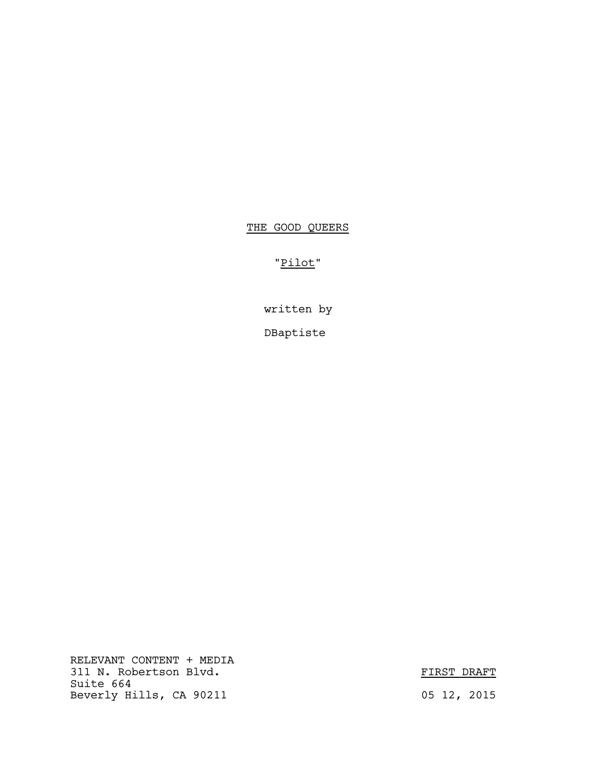### THE GOOD QUEERS

"Pilot"

written by

DBaptiste

RELEVANT CONTENT + MEDIA 311 N. Robertson Blvd. The South of the South States of the South States of the South States of the South States of the South States of the South States of the South States of the South States of the South States of the So Suite 664 Beverly Hills, CA 90211 05 12, 2015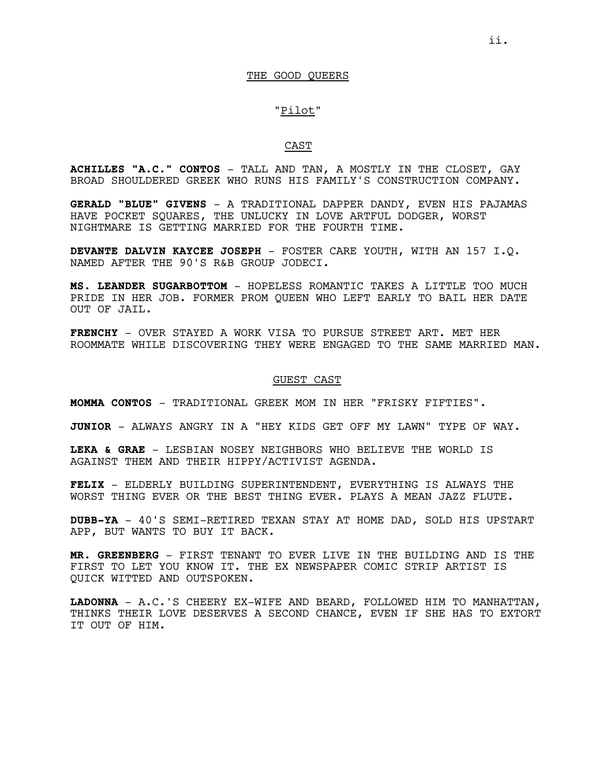#### "Pilot"

#### CAST

**ACHILLES "A.C." CONTOS** - TALL AND TAN, A MOSTLY IN THE CLOSET, GAY BROAD SHOULDERED GREEK WHO RUNS HIS FAMILY'S CONSTRUCTION COMPANY.

**GERALD "BLUE" GIVENS** - A TRADITIONAL DAPPER DANDY, EVEN HIS PAJAMAS HAVE POCKET SQUARES, THE UNLUCKY IN LOVE ARTFUL DODGER, WORST NIGHTMARE IS GETTING MARRIED FOR THE FOURTH TIME.

**DEVANTE DALVIN KAYCEE JOSEPH** - FOSTER CARE YOUTH, WITH AN 157 I.Q. NAMED AFTER THE 90'S R&B GROUP JODECI.

**MS. LEANDER SUGARBOTTOM** - HOPELESS ROMANTIC TAKES A LITTLE TOO MUCH PRIDE IN HER JOB. FORMER PROM QUEEN WHO LEFT EARLY TO BAIL HER DATE OUT OF JAIL.

**FRENCHY** - OVER STAYED A WORK VISA TO PURSUE STREET ART. MET HER ROOMMATE WHILE DISCOVERING THEY WERE ENGAGED TO THE SAME MARRIED MAN.

#### GUEST CAST

**MOMMA CONTOS** - TRADITIONAL GREEK MOM IN HER "FRISKY FIFTIES".

**JUNIOR** - ALWAYS ANGRY IN A "HEY KIDS GET OFF MY LAWN" TYPE OF WAY.

**LEKA & GRAE** - LESBIAN NOSEY NEIGHBORS WHO BELIEVE THE WORLD IS AGAINST THEM AND THEIR HIPPY/ACTIVIST AGENDA.

**FELIX** - ELDERLY BUILDING SUPERINTENDENT, EVERYTHING IS ALWAYS THE WORST THING EVER OR THE BEST THING EVER. PLAYS A MEAN JAZZ FLUTE.

**DUBB-YA** - 40'S SEMI-RETIRED TEXAN STAY AT HOME DAD, SOLD HIS UPSTART APP, BUT WANTS TO BUY IT BACK.

**MR. GREENBERG** - FIRST TENANT TO EVER LIVE IN THE BUILDING AND IS THE FIRST TO LET YOU KNOW IT. THE EX NEWSPAPER COMIC STRIP ARTIST IS QUICK WITTED AND OUTSPOKEN.

**LADONNA** - A.C.'S CHEERY EX-WIFE AND BEARD, FOLLOWED HIM TO MANHATTAN, THINKS THEIR LOVE DESERVES A SECOND CHANCE, EVEN IF SHE HAS TO EXTORT IT OUT OF HIM.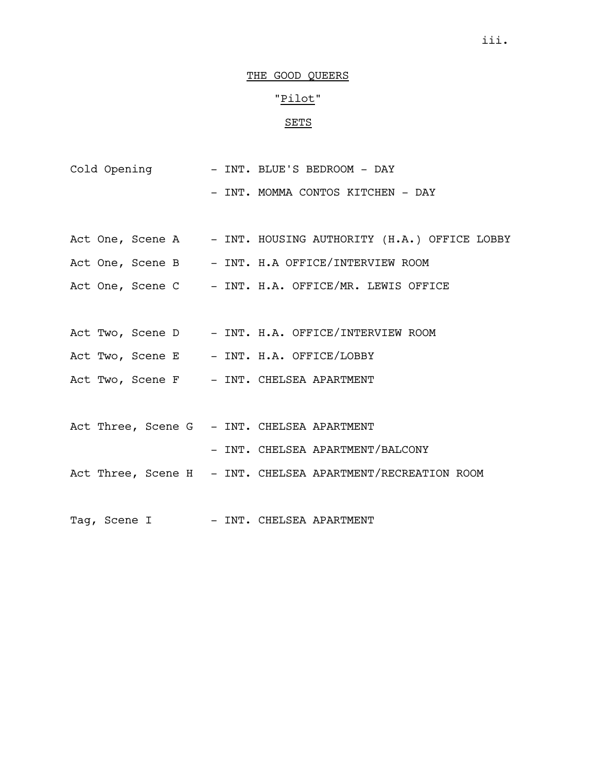### THE GOOD QUEERS

### "Pilot"

### SETS

Cold Opening  $-$  INT. BLUE'S BEDROOM - DAY - INT. MOMMA CONTOS KITCHEN - DAY

- Act One, Scene A INT. HOUSING AUTHORITY (H.A.) OFFICE LOBBY
- Act One, Scene B INT. H.A OFFICE/INTERVIEW ROOM
- Act One, Scene C INT. H.A. OFFICE/MR. LEWIS OFFICE
- Act Two, Scene D INT. H.A. OFFICE/INTERVIEW ROOM
- Act Two, Scene E INT. H.A. OFFICE/LOBBY
- Act Two, Scene F INT. CHELSEA APARTMENT
- Act Three, Scene G INT. CHELSEA APARTMENT - INT. CHELSEA APARTMENT/BALCONY Act Three, Scene H - INT. CHELSEA APARTMENT/RECREATION ROOM
- Tag, Scene I INT. CHELSEA APARTMENT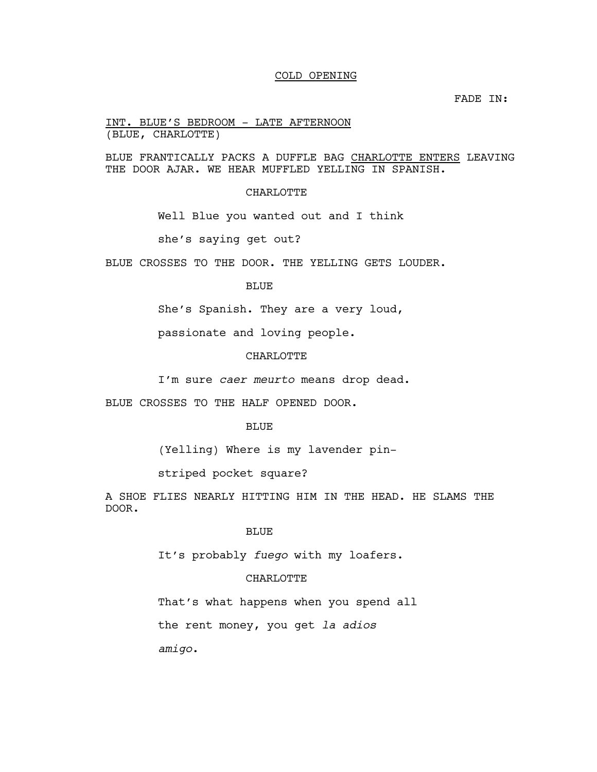#### COLD OPENING

FADE IN:

INT. BLUE'S BEDROOM - LATE AFTERNOON (BLUE, CHARLOTTE)

BLUE FRANTICALLY PACKS A DUFFLE BAG CHARLOTTE ENTERS LEAVING THE DOOR AJAR. WE HEAR MUFFLED YELLING IN SPANISH.

#### CHARLOTTE

Well Blue you wanted out and I think

she's saying get out?

BLUE CROSSES TO THE DOOR. THE YELLING GETS LOUDER.

BLUE

She's Spanish. They are a very loud,

passionate and loving people.

#### CHARLOTTE

I'm sure *caer meurto* means drop dead.

BLUE CROSSES TO THE HALF OPENED DOOR.

### BLUE

(Yelling) Where is my lavender pin-

striped pocket square?

A SHOE FLIES NEARLY HITTING HIM IN THE HEAD. HE SLAMS THE DOOR.

BLUE

It's probably *fuego* with my loafers.

#### CHARLOTTE

That's what happens when you spend all

the rent money, you get *la adios* 

*amigo*.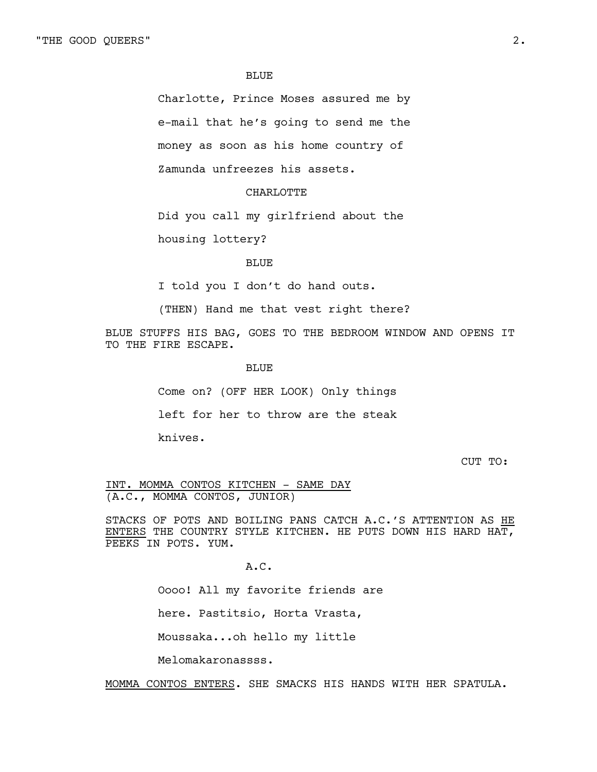Charlotte, Prince Moses assured me by e-mail that he's going to send me the money as soon as his home country of Zamunda unfreezes his assets.

#### CHARLOTTE

Did you call my girlfriend about the

housing lottery?

#### BLUE

I told you I don't do hand outs.

(THEN) Hand me that vest right there?

BLUE STUFFS HIS BAG, GOES TO THE BEDROOM WINDOW AND OPENS IT TO THE FIRE ESCAPE.

BLUE

Come on? (OFF HER LOOK) Only things left for her to throw are the steak knives.

CUT TO:

#### INT. MOMMA CONTOS KITCHEN - SAME DAY (A.C., MOMMA CONTOS, JUNIOR)

STACKS OF POTS AND BOILING PANS CATCH A.C.'S ATTENTION AS HE ENTERS THE COUNTRY STYLE KITCHEN. HE PUTS DOWN HIS HARD HAT, PEEKS IN POTS. YUM.

#### A.C.

Oooo! All my favorite friends are

here. Pastitsio, Horta Vrasta,

Moussaka...oh hello my little

Melomakaronassss.

MOMMA CONTOS ENTERS. SHE SMACKS HIS HANDS WITH HER SPATULA.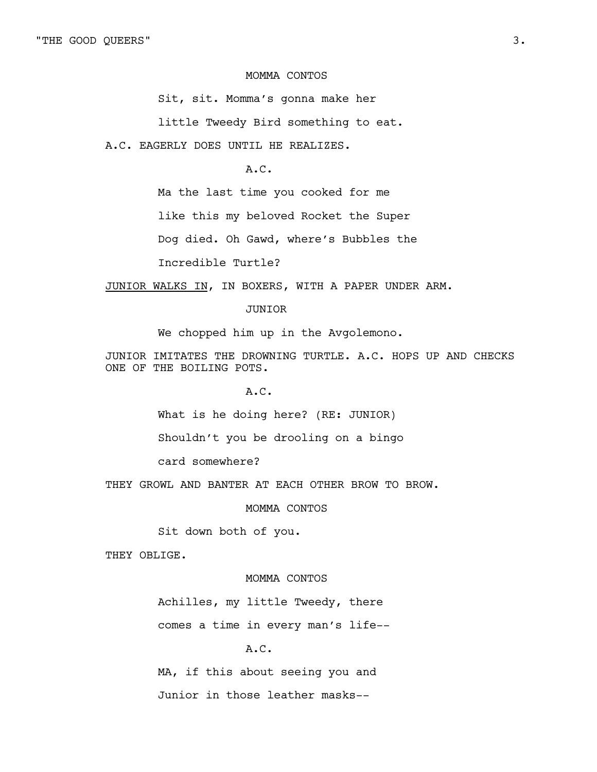### MOMMA CONTOS

Sit, sit. Momma's gonna make her

little Tweedy Bird something to eat.

A.C. EAGERLY DOES UNTIL HE REALIZES.

A.C.

Ma the last time you cooked for me

like this my beloved Rocket the Super

Dog died. Oh Gawd, where's Bubbles the

Incredible Turtle?

JUNIOR WALKS IN, IN BOXERS, WITH A PAPER UNDER ARM.

#### JUNIOR

We chopped him up in the Avgolemono.

JUNIOR IMITATES THE DROWNING TURTLE. A.C. HOPS UP AND CHECKS ONE OF THE BOILING POTS.

A.C.

What is he doing here? (RE: JUNIOR)

Shouldn't you be drooling on a bingo

card somewhere?

THEY GROWL AND BANTER AT EACH OTHER BROW TO BROW.

MOMMA CONTOS

Sit down both of you.

THEY OBLIGE.

#### MOMMA CONTOS

Achilles, my little Tweedy, there

comes a time in every man's life--

### A.C.

MA, if this about seeing you and Junior in those leather masks--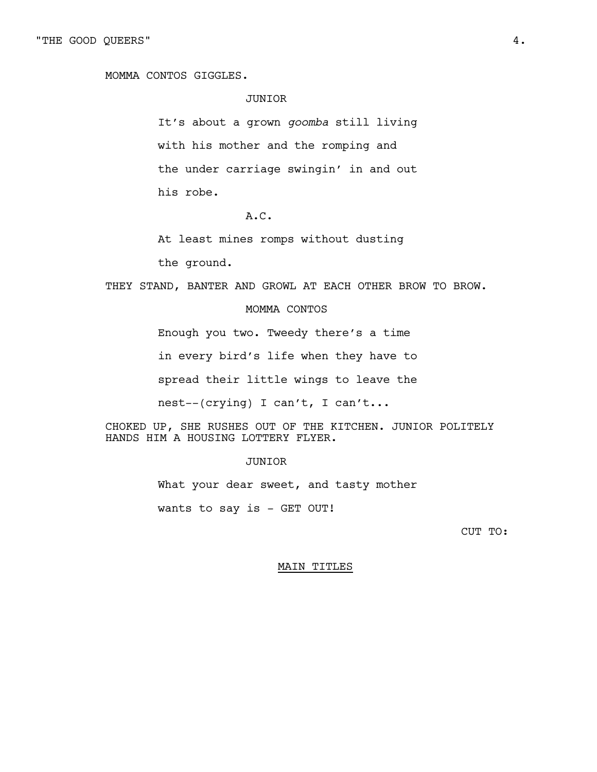MOMMA CONTOS GIGGLES.

### JUNIOR

It's about a grown *goomba* still living with his mother and the romping and the under carriage swingin' in and out his robe.

### A.C.

At least mines romps without dusting

the ground.

THEY STAND, BANTER AND GROWL AT EACH OTHER BROW TO BROW.

### MOMMA CONTOS

Enough you two. Tweedy there's a time

in every bird's life when they have to

spread their little wings to leave the

nest--(crying) I can't, I can't...

CHOKED UP, SHE RUSHES OUT OF THE KITCHEN. JUNIOR POLITELY HANDS HIM A HOUSING LOTTERY FLYER.

### JUNIOR

What your dear sweet, and tasty mother

wants to say is - GET OUT!

CUT TO:

#### MAIN TITLES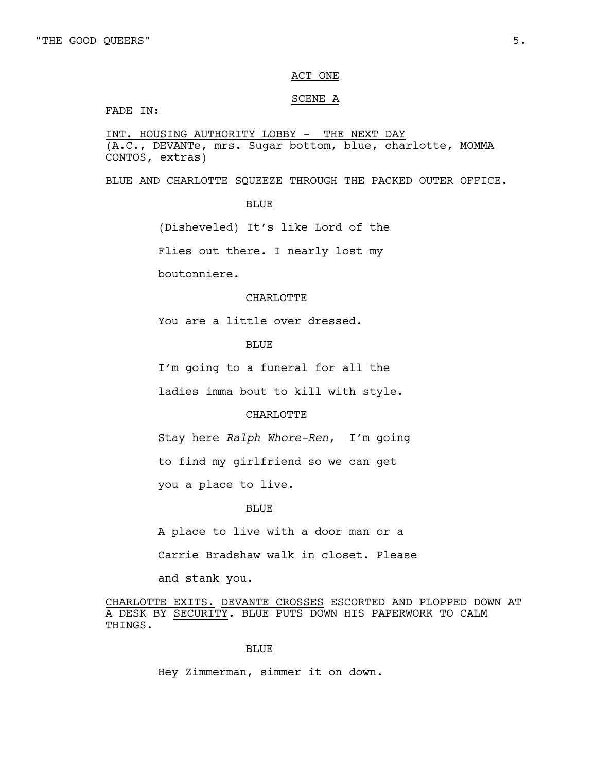#### ACT ONE

#### SCENE A

FADE IN:

INT. HOUSING AUTHORITY LOBBY - THE NEXT DAY (A.C., DEVANTe, mrs. Sugar bottom, blue, charlotte, MOMMA CONTOS, extras)

BLUE AND CHARLOTTE SQUEEZE THROUGH THE PACKED OUTER OFFICE.

BLUE

(Disheveled) It's like Lord of the

Flies out there. I nearly lost my

boutonniere.

#### CHARLOTTE

You are a little over dressed.

BLUE

I'm going to a funeral for all the

ladies imma bout to kill with style.

#### CHARLOTTE

Stay here *Ralph Whore-Ren*, I'm going

to find my girlfriend so we can get

you a place to live.

#### BLUE

A place to live with a door man or a

Carrie Bradshaw walk in closet. Please

and stank you.

CHARLOTTE EXITS. DEVANTE CROSSES ESCORTED AND PLOPPED DOWN AT A DESK BY SECURITY. BLUE PUTS DOWN HIS PAPERWORK TO CALM THINGS.

#### BLUE

Hey Zimmerman, simmer it on down.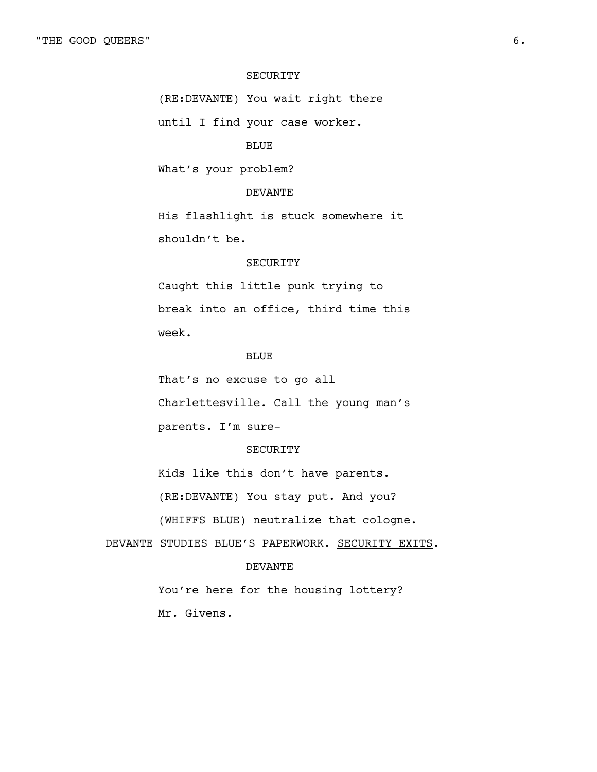### SECURITY

(RE:DEVANTE) You wait right there

until I find your case worker.

BLUE

What's your problem?

#### DEVANTE

His flashlight is stuck somewhere it shouldn't be.

### SECURITY

Caught this little punk trying to break into an office, third time this week.

### **BLUE**

That's no excuse to go all Charlettesville. Call the young man's parents. I'm sure-

### SECURITY

Kids like this don't have parents.

(RE:DEVANTE) You stay put. And you?

(WHIFFS BLUE) neutralize that cologne.

DEVANTE STUDIES BLUE'S PAPERWORK. SECURITY EXITS.

#### DEVANTE

You're here for the housing lottery? Mr. Givens.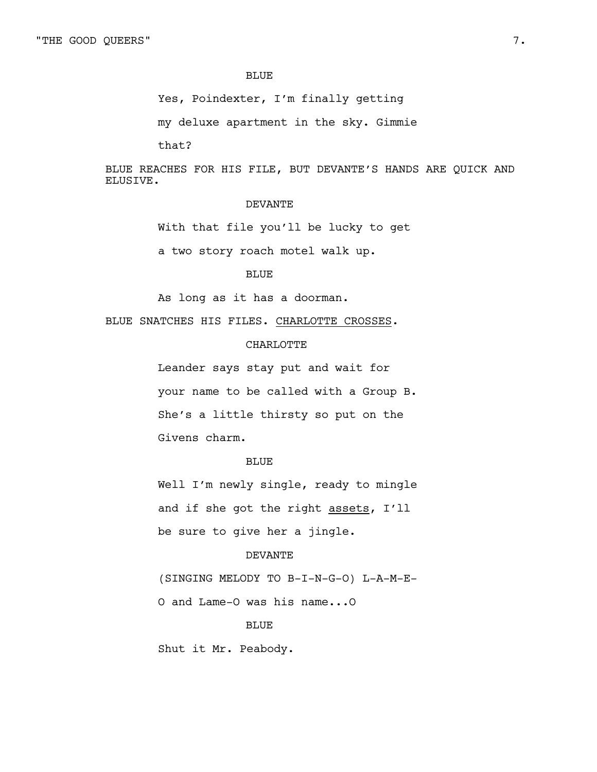Yes, Poindexter, I'm finally getting

my deluxe apartment in the sky. Gimmie

that?

BLUE REACHES FOR HIS FILE, BUT DEVANTE'S HANDS ARE QUICK AND ELUSIVE.

#### DEVANTE

With that file you'll be lucky to get

a two story roach motel walk up.

### BLUE

As long as it has a doorman.

BLUE SNATCHES HIS FILES. CHARLOTTE CROSSES.

### CHARLOTTE

Leander says stay put and wait for your name to be called with a Group B. She's a little thirsty so put on the Givens charm.

BLUE

Well I'm newly single, ready to mingle and if she got the right assets, I'll be sure to give her a jingle.

#### DEVANTE

(SINGING MELODY TO B-I-N-G-O) L-A-M-E-

O and Lame-O was his name...O

#### BLUE

Shut it Mr. Peabody.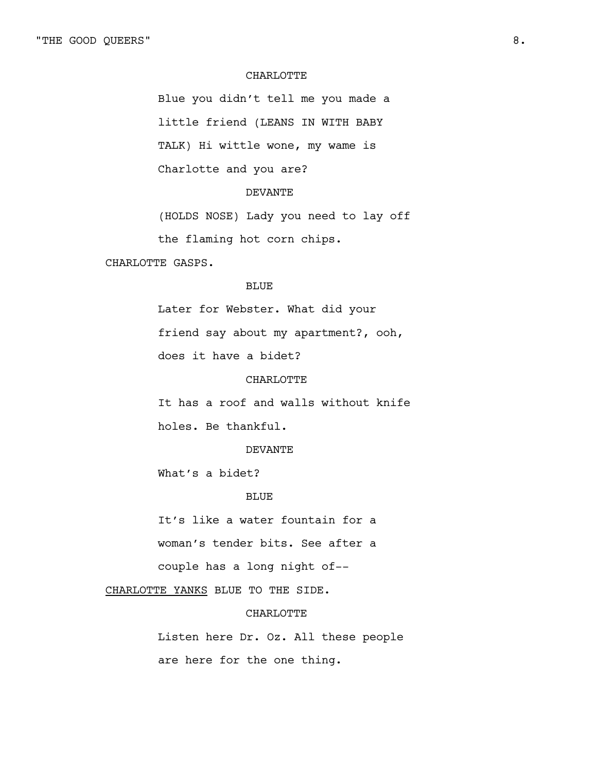### CHARLOTTE

Blue you didn't tell me you made a little friend (LEANS IN WITH BABY TALK) Hi wittle wone, my wame is Charlotte and you are?

### DEVANTE

(HOLDS NOSE) Lady you need to lay off

the flaming hot corn chips.

CHARLOTTE GASPS.

#### BLUE

Later for Webster. What did your friend say about my apartment?, ooh, does it have a bidet?

#### CHARLOTTE

It has a roof and walls without knife holes. Be thankful.

### DEVANTE

What's a bidet?

#### BLUE

It's like a water fountain for a woman's tender bits. See after a couple has a long night of--

CHARLOTTE YANKS BLUE TO THE SIDE.

### CHARLOTTE

Listen here Dr. Oz. All these people are here for the one thing.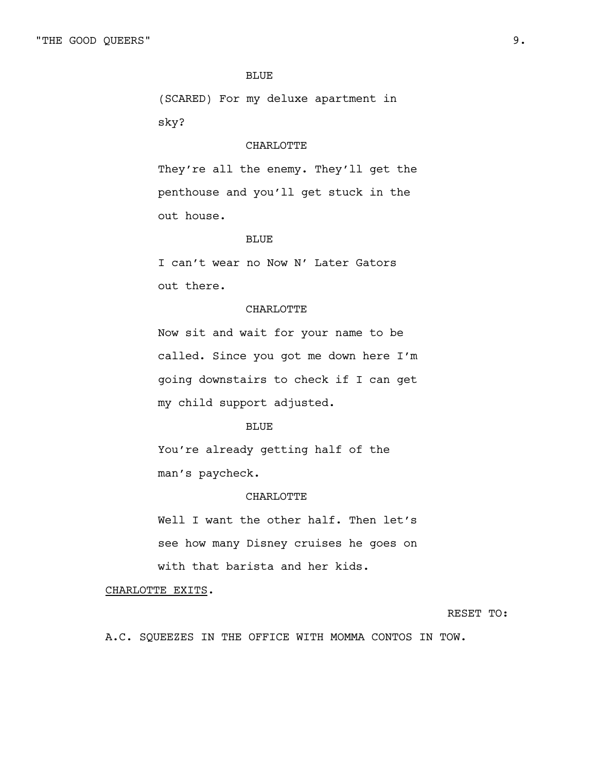```
BLUE
```
(SCARED) For my deluxe apartment in sky?

#### CHARLOTTE

They're all the enemy. They'll get the penthouse and you'll get stuck in the out house.

#### BLUE

I can't wear no Now N' Later Gators out there.

#### CHARLOTTE

Now sit and wait for your name to be called. Since you got me down here I'm going downstairs to check if I can get my child support adjusted.

### BLUE

You're already getting half of the man's paycheck.

#### CHARLOTTE

Well I want the other half. Then let's see how many Disney cruises he goes on with that barista and her kids.

#### CHARLOTTE EXITS.

#### RESET TO:

A.C. SQUEEZES IN THE OFFICE WITH MOMMA CONTOS IN TOW.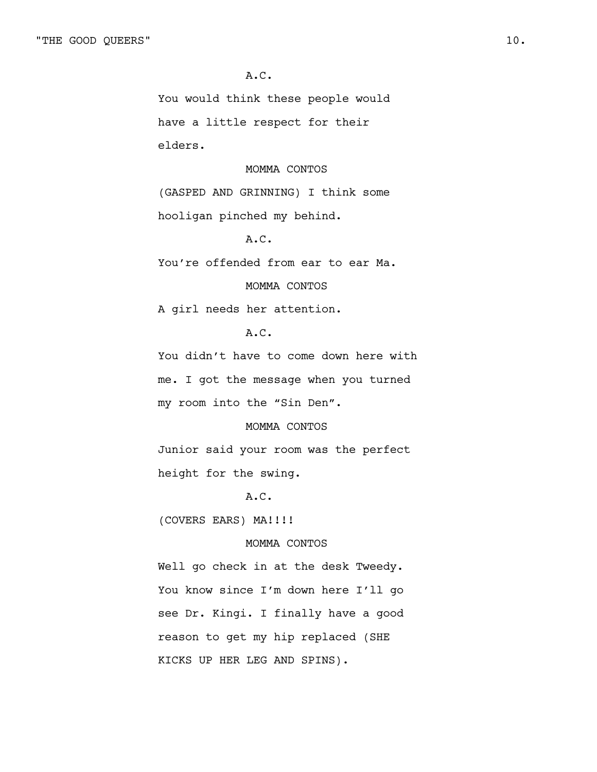You would think these people would have a little respect for their elders.

#### MOMMA CONTOS

(GASPED AND GRINNING) I think some hooligan pinched my behind.

### A.C.

You're offended from ear to ear Ma.

#### MOMMA CONTOS

A girl needs her attention.

### A.C.

You didn't have to come down here with me. I got the message when you turned my room into the "Sin Den".

### MOMMA CONTOS

Junior said your room was the perfect height for the swing.

#### A.C.

(COVERS EARS) MA!!!!

#### MOMMA CONTOS

Well go check in at the desk Tweedy. You know since I'm down here I'll go see Dr. Kingi. I finally have a good reason to get my hip replaced (SHE KICKS UP HER LEG AND SPINS).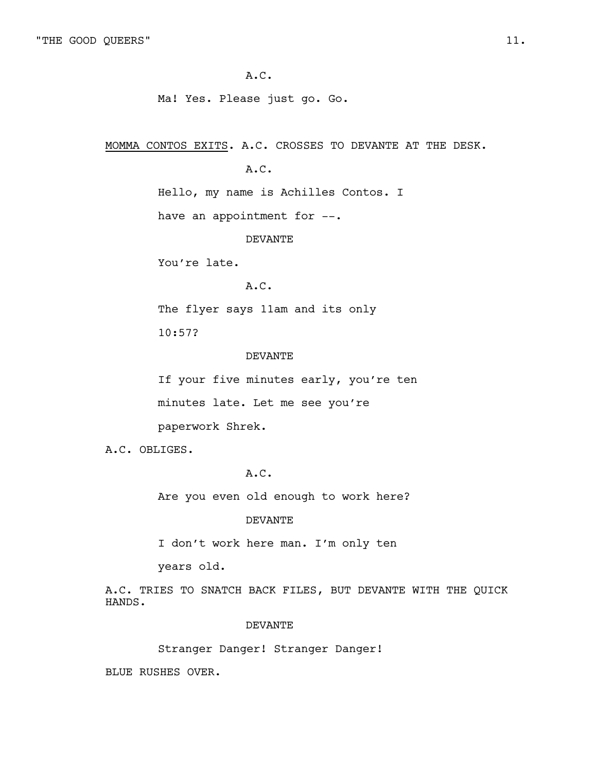```
A.C.
```
Ma! Yes. Please just go. Go.

MOMMA CONTOS EXITS. A.C. CROSSES TO DEVANTE AT THE DESK.

A.C.

Hello, my name is Achilles Contos. I

have an appointment for --.

DEVANTE

You're late.

### A.C.

The flyer says 11am and its only

10:57?

#### DEVANTE

If your five minutes early, you're ten minutes late. Let me see you're paperwork Shrek.

A.C. OBLIGES.

### A.C.

Are you even old enough to work here?

### DEVANTE

I don't work here man. I'm only ten

years old.

A.C. TRIES TO SNATCH BACK FILES, BUT DEVANTE WITH THE QUICK HANDS.

#### DEVANTE

Stranger Danger! Stranger Danger!

BLUE RUSHES OVER.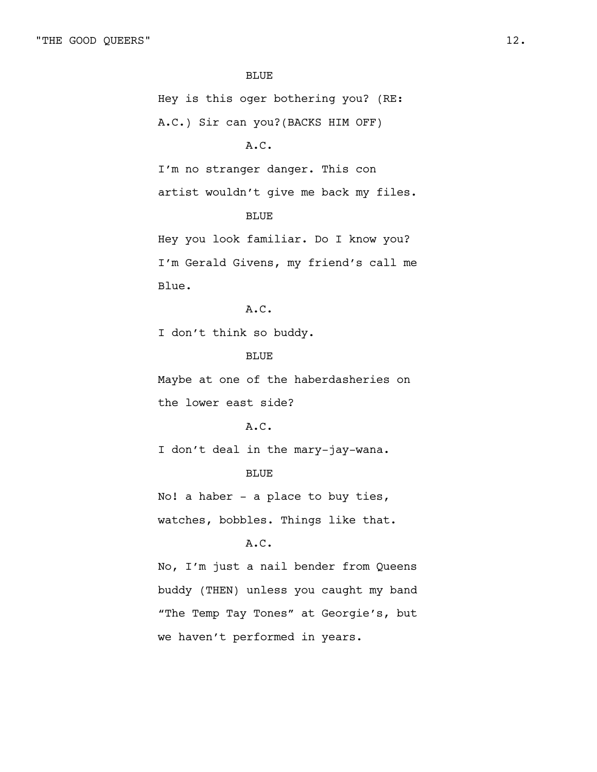Hey is this oger bothering you? (RE:

A.C.) Sir can you?(BACKS HIM OFF)

### A.C.

I'm no stranger danger. This con artist wouldn't give me back my files.

#### BLUE

Hey you look familiar. Do I know you? I'm Gerald Givens, my friend's call me Blue.

### A.C.

I don't think so buddy.

### BLUE

Maybe at one of the haberdasheries on the lower east side?

### A.C.

I don't deal in the mary-jay-wana.

### BLUE

No! a haber - a place to buy ties, watches, bobbles. Things like that.

### A.C.

No, I'm just a nail bender from Queens buddy (THEN) unless you caught my band "The Temp Tay Tones" at Georgie's, but we haven't performed in years.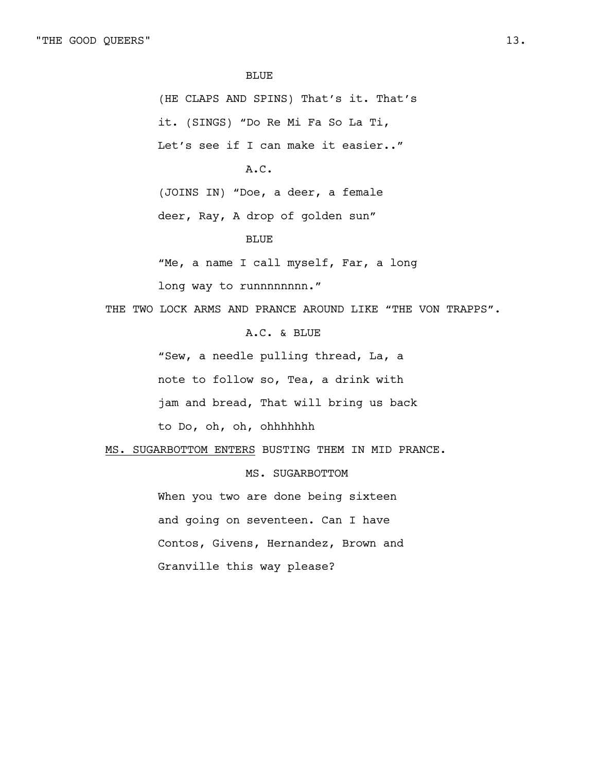```
BLUE
```
(HE CLAPS AND SPINS) That's it. That's

it. (SINGS) "Do Re Mi Fa So La Ti,

Let's see if I can make it easier.."

A.C.

(JOINS IN) "Doe, a deer, a female

deer, Ray, A drop of golden sun"

BLUE

"Me, a name I call myself, Far, a long

long way to runnnnnnnn."

THE TWO LOCK ARMS AND PRANCE AROUND LIKE "THE VON TRAPPS".

A.C. & BLUE

"Sew, a needle pulling thread, La, a note to follow so, Tea, a drink with jam and bread, That will bring us back to Do, oh, oh, ohhhhhhh

MS. SUGARBOTTOM ENTERS BUSTING THEM IN MID PRANCE.

MS. SUGARBOTTOM

When you two are done being sixteen and going on seventeen. Can I have Contos, Givens, Hernandez, Brown and Granville this way please?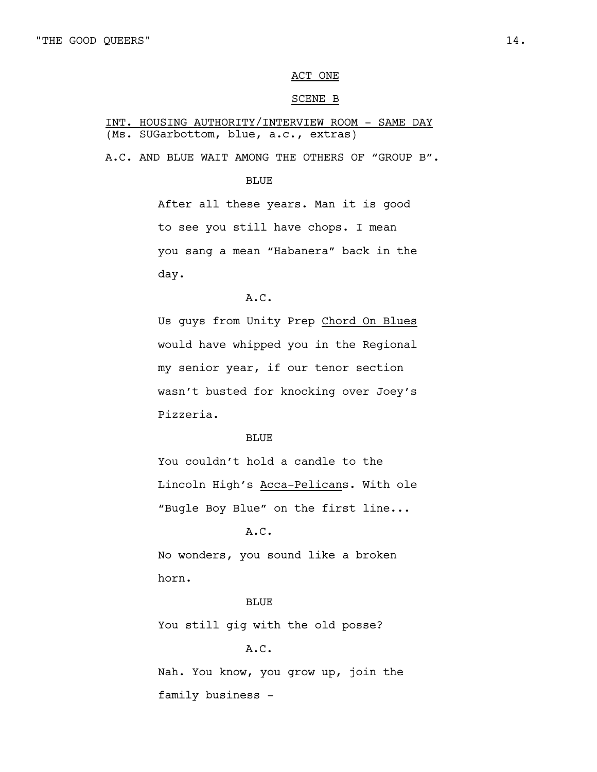### ACT ONE

#### SCENE B

INT. HOUSING AUTHORITY/INTERVIEW ROOM - SAME DAY (Ms. SUGarbottom, blue, a.c., extras)

A.C. AND BLUE WAIT AMONG THE OTHERS OF "GROUP B".

#### **BLUE**

After all these years. Man it is good to see you still have chops. I mean you sang a mean "Habanera" back in the day.

### A.C.

Us guys from Unity Prep Chord On Blues would have whipped you in the Regional my senior year, if our tenor section wasn't busted for knocking over Joey's Pizzeria.

#### **BLUE**

You couldn't hold a candle to the Lincoln High's Acca-Pelicans. With ole "Bugle Boy Blue" on the first line...

## A.C.

No wonders, you sound like a broken horn.

### BLUE

You still gig with the old posse?

### A.C.

Nah. You know, you grow up, join the family business -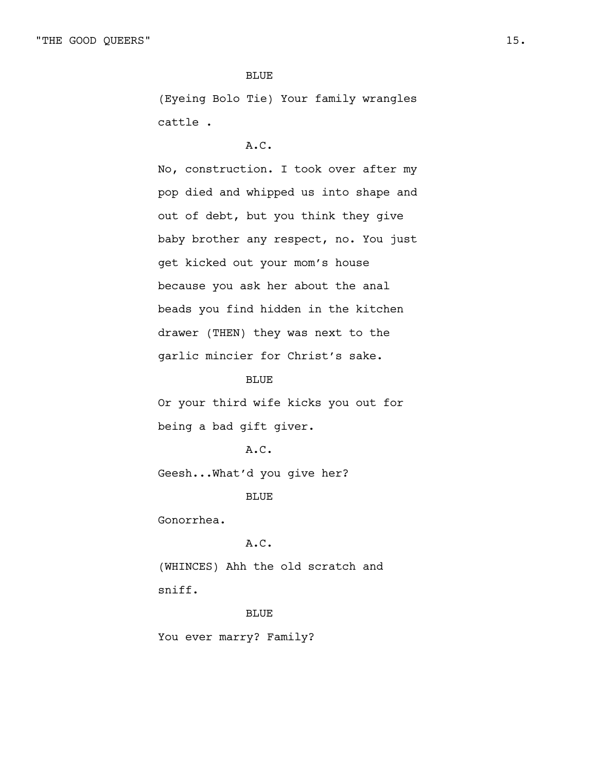```
BLUE
```
(Eyeing Bolo Tie) Your family wrangles cattle .

A.C.

No, construction. I took over after my pop died and whipped us into shape and out of debt, but you think they give baby brother any respect, no. You just get kicked out your mom's house because you ask her about the anal beads you find hidden in the kitchen drawer (THEN) they was next to the garlic mincier for Christ's sake.

#### BLUE

Or your third wife kicks you out for being a bad gift giver.

A.C.

Geesh...What'd you give her?

BLUE

Gonorrhea.

A.C.

(WHINCES) Ahh the old scratch and sniff.

### **BLUE**

You ever marry? Family?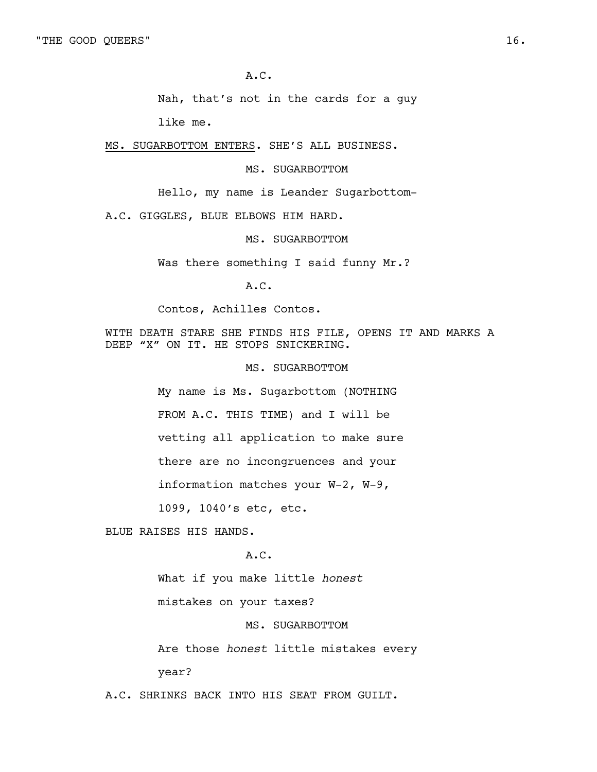Nah, that's not in the cards for a guy

like me.

MS. SUGARBOTTOM ENTERS. SHE'S ALL BUSINESS.

MS. SUGARBOTTOM

Hello, my name is Leander Sugarbottom-

A.C. GIGGLES, BLUE ELBOWS HIM HARD.

MS. SUGARBOTTOM

Was there something I said funny Mr.?

A.C.

Contos, Achilles Contos.

WITH DEATH STARE SHE FINDS HIS FILE, OPENS IT AND MARKS A DEEP "X" ON IT. HE STOPS SNICKERING.

MS. SUGARBOTTOM

My name is Ms. Sugarbottom (NOTHING FROM A.C. THIS TIME) and I will be vetting all application to make sure there are no incongruences and your information matches your W-2, W-9, 1099, 1040's etc, etc.

BLUE RAISES HIS HANDS.

### A.C.

What if you make little *honest*

mistakes on your taxes?

MS. SUGARBOTTOM

Are those *honest* little mistakes every year?

A.C. SHRINKS BACK INTO HIS SEAT FROM GUILT.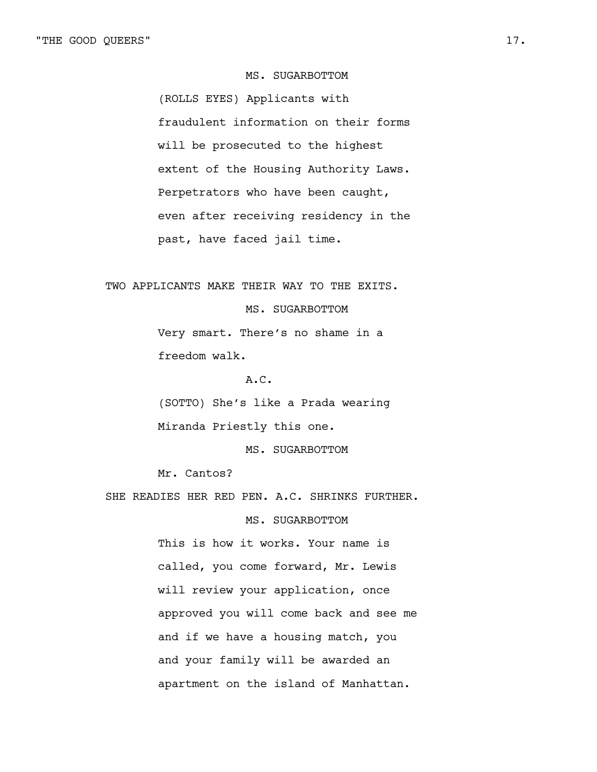(ROLLS EYES) Applicants with fraudulent information on their forms will be prosecuted to the highest extent of the Housing Authority Laws. Perpetrators who have been caught, even after receiving residency in the past, have faced jail time.

### TWO APPLICANTS MAKE THEIR WAY TO THE EXITS.

MS. SUGARBOTTOM Very smart. There's no shame in a freedom walk.

#### A.C.

(SOTTO) She's like a Prada wearing Miranda Priestly this one.

MS. SUGARBOTTOM

Mr. Cantos?

SHE READIES HER RED PEN. A.C. SHRINKS FURTHER.

### MS. SUGARBOTTOM

This is how it works. Your name is called, you come forward, Mr. Lewis will review your application, once approved you will come back and see me and if we have a housing match, you and your family will be awarded an apartment on the island of Manhattan.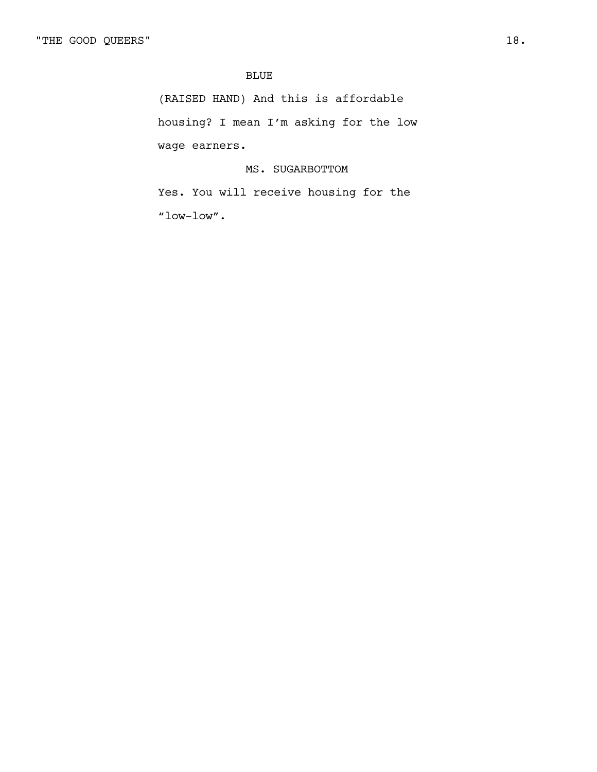(RAISED HAND) And this is affordable housing? I mean I'm asking for the low wage earners.

### MS. SUGARBOTTOM

Yes. You will receive housing for the "low-low".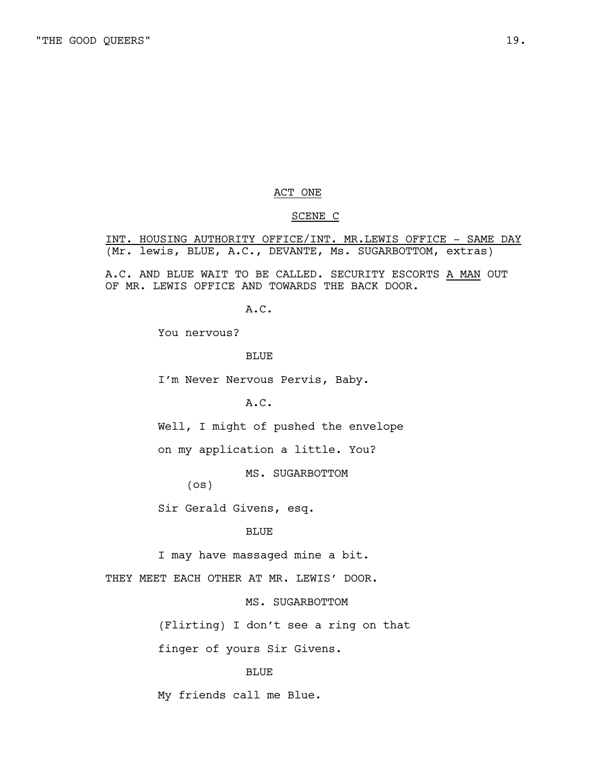#### ACT ONE

#### SCENE C

INT. HOUSING AUTHORITY OFFICE/INT. MR.LEWIS OFFICE - SAME DAY (Mr. lewis, BLUE, A.C., DEVANTE, Ms. SUGARBOTTOM, extras)

A.C. AND BLUE WAIT TO BE CALLED. SECURITY ESCORTS A MAN OUT OF MR. LEWIS OFFICE AND TOWARDS THE BACK DOOR.

A.C.

You nervous?

BLUE

I'm Never Nervous Pervis, Baby.

A.C.

Well, I might of pushed the envelope

on my application a little. You?

MS. SUGARBOTTOM

(os)

Sir Gerald Givens, esq.

### BLUE

I may have massaged mine a bit.

THEY MEET EACH OTHER AT MR. LEWIS' DOOR.

MS. SUGARBOTTOM

(Flirting) I don't see a ring on that

finger of yours Sir Givens.

#### **BLUE**

My friends call me Blue.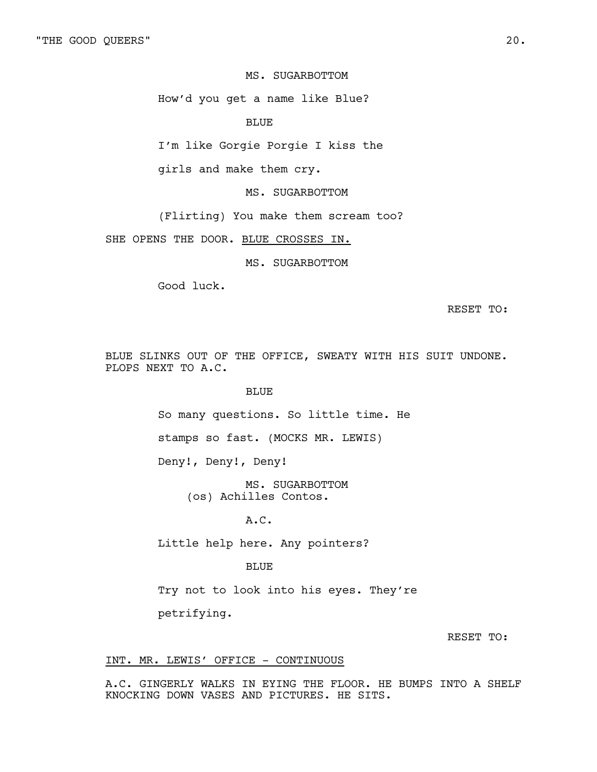How'd you get a name like Blue?

BLUE

I'm like Gorgie Porgie I kiss the

girls and make them cry.

MS. SUGARBOTTOM

(Flirting) You make them scream too?

SHE OPENS THE DOOR. BLUE CROSSES IN.

MS. SUGARBOTTOM

Good luck.

RESET TO:

BLUE SLINKS OUT OF THE OFFICE, SWEATY WITH HIS SUIT UNDONE. PLOPS NEXT TO A.C.

BLUE

So many questions. So little time. He

stamps so fast. (MOCKS MR. LEWIS)

Deny!, Deny!, Deny!

MS. SUGARBOTTOM (os) Achilles Contos.

A.C.

Little help here. Any pointers?

**BLUE** 

Try not to look into his eyes. They're

petrifying.

RESET TO:

#### INT. MR. LEWIS' OFFICE - CONTINUOUS

A.C. GINGERLY WALKS IN EYING THE FLOOR. HE BUMPS INTO A SHELF KNOCKING DOWN VASES AND PICTURES. HE SITS.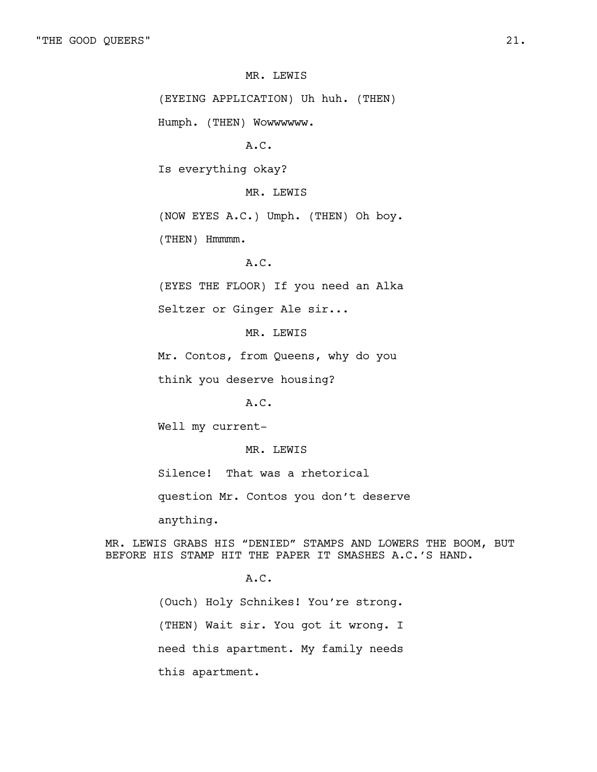### MR. LEWIS

(EYEING APPLICATION) Uh huh. (THEN)

Humph. (THEN) Wowwwwww.

A.C.

Is everything okay?

MR. LEWIS

(NOW EYES A.C.) Umph. (THEN) Oh boy.

(THEN) Hmmmm.

### A.C.

(EYES THE FLOOR) If you need an Alka

Seltzer or Ginger Ale sir...

MR. LEWIS

Mr. Contos, from Queens, why do you

think you deserve housing?

A.C.

Well my current-

### MR. LEWIS

Silence! That was a rhetorical

question Mr. Contos you don't deserve

anything.

MR. LEWIS GRABS HIS "DENIED" STAMPS AND LOWERS THE BOOM, BUT BEFORE HIS STAMP HIT THE PAPER IT SMASHES A.C.'S HAND.

### A.C.

(Ouch) Holy Schnikes! You're strong. (THEN) Wait sir. You got it wrong. I need this apartment. My family needs this apartment.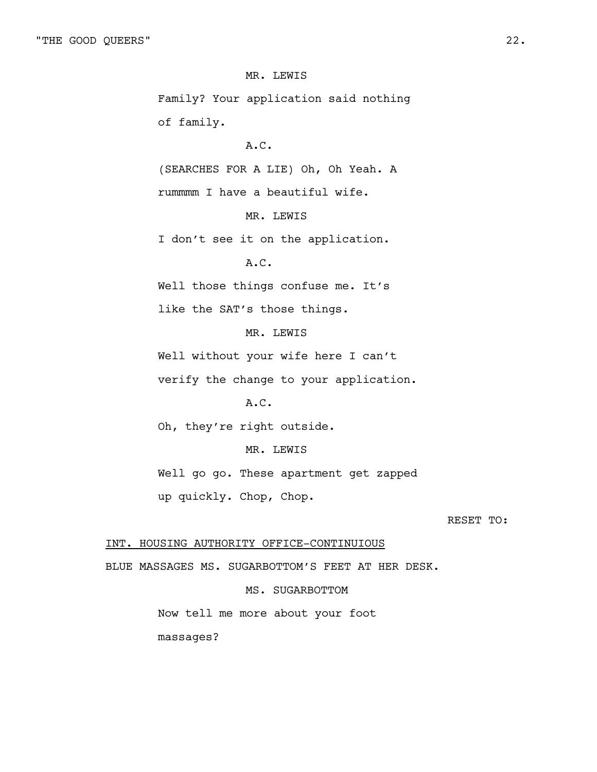# MR. LEWIS Family? Your application said nothing of family. A.C. (SEARCHES FOR A LIE) Oh, Oh Yeah. A rummmm I have a beautiful wife. MR. LEWIS I don't see it on the application. A.C. Well those things confuse me. It's like the SAT's those things. MR. LEWIS Well without your wife here I can't verify the change to your application. A.C. Oh, they're right outside. MR. LEWIS

Well go go. These apartment get zapped up quickly. Chop, Chop.

RESET TO:

### INT. HOUSING AUTHORITY OFFICE-CONTINUIOUS

BLUE MASSAGES MS. SUGARBOTTOM'S FEET AT HER DESK.

#### MS. SUGARBOTTOM

Now tell me more about your foot

massages?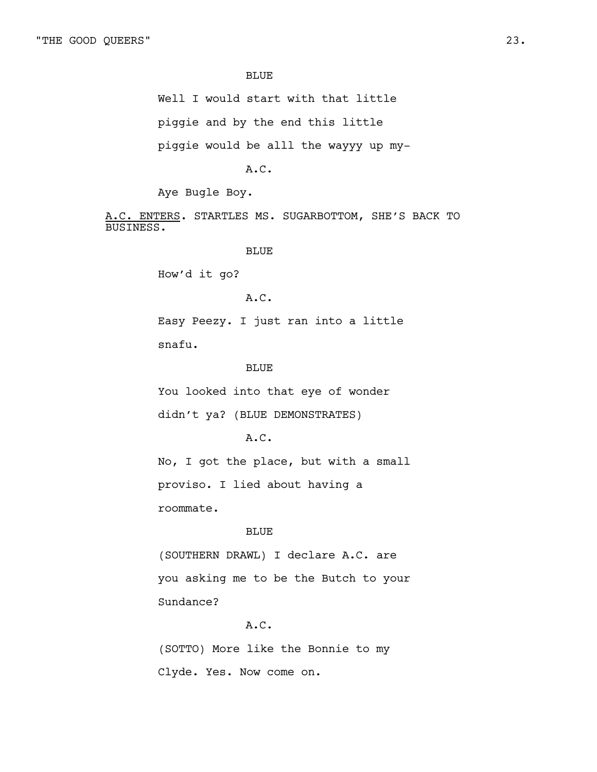Well I would start with that little

piggie and by the end this little

piggie would be alll the wayyy up my-

### A.C.

Aye Bugle Boy.

A.C. ENTERS. STARTLES MS. SUGARBOTTOM, SHE'S BACK TO BUSINESS.

BLUE

How'd it go?

### A.C.

Easy Peezy. I just ran into a little snafu.

#### BLUE

You looked into that eye of wonder

didn't ya? (BLUE DEMONSTRATES)

### A.C.

No, I got the place, but with a small proviso. I lied about having a roommate.

### BLUE

(SOUTHERN DRAWL) I declare A.C. are you asking me to be the Butch to your Sundance?

### A.C.

(SOTTO) More like the Bonnie to my Clyde. Yes. Now come on.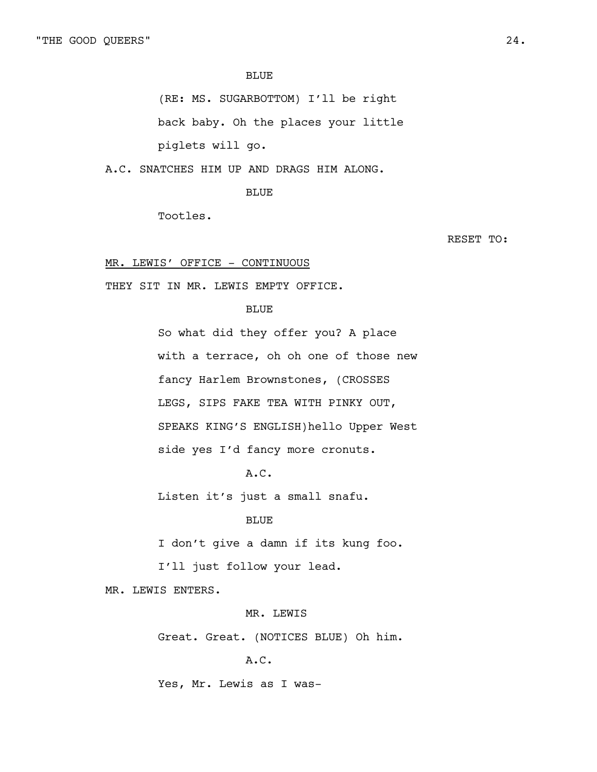(RE: MS. SUGARBOTTOM) I'll be right

back baby. Oh the places your little

piglets will go.

A.C. SNATCHES HIM UP AND DRAGS HIM ALONG.

BLUE

Tootles.

RESET TO:

### MR. LEWIS' OFFICE - CONTINUOUS

THEY SIT IN MR. LEWIS EMPTY OFFICE.

#### BLUE

So what did they offer you? A place with a terrace, oh oh one of those new fancy Harlem Brownstones, (CROSSES LEGS, SIPS FAKE TEA WITH PINKY OUT, SPEAKS KING'S ENGLISH)hello Upper West side yes I'd fancy more cronuts.

### A.C.

Listen it's just a small snafu.

### BLUE

I don't give a damn if its kung foo.

I'll just follow your lead.

MR. LEWIS ENTERS.

#### MR. LEWIS

Great. Great. (NOTICES BLUE) Oh him.

A.C.

Yes, Mr. Lewis as I was-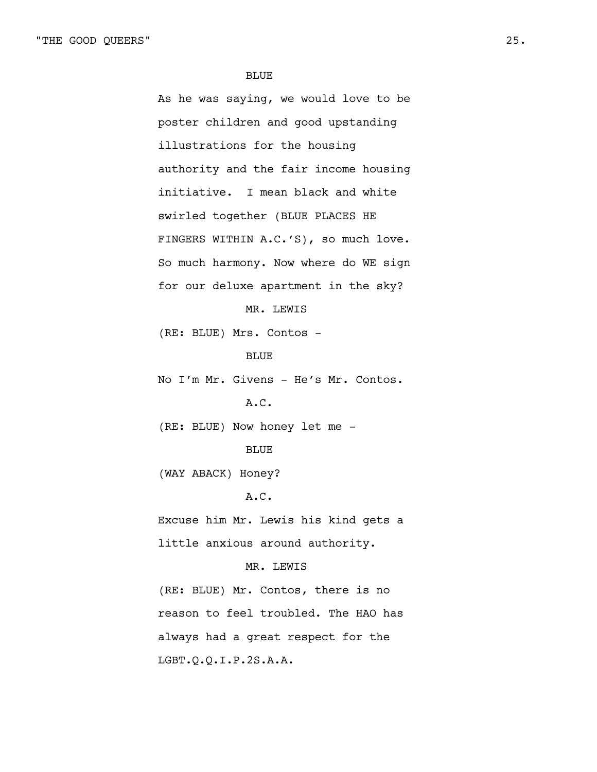As he was saying, we would love to be poster children and good upstanding illustrations for the housing authority and the fair income housing initiative. I mean black and white swirled together (BLUE PLACES HE FINGERS WITHIN A.C.'S), so much love. So much harmony. Now where do WE sign for our deluxe apartment in the sky?

### MR. LEWIS

(RE: BLUE) Mrs. Contos -

### **BLUE**

No I'm Mr. Givens - He's Mr. Contos.

### A.C.

(RE: BLUE) Now honey let me -

### BLUE

(WAY ABACK) Honey?

#### A.C.

Excuse him Mr. Lewis his kind gets a little anxious around authority.

#### MR. LEWIS

(RE: BLUE) Mr. Contos, there is no reason to feel troubled. The HAO has always had a great respect for the LGBT.Q.Q.I.P.2S.A.A.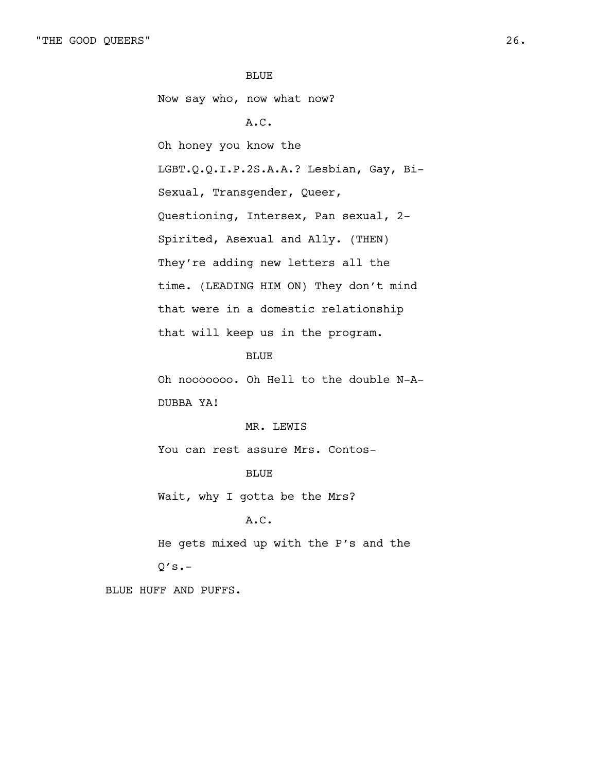Now say who, now what now?

A.C.

Oh honey you know the

LGBT.Q.Q.I.P.2S.A.A.? Lesbian, Gay, Bi-

Sexual, Transgender, Queer,

Questioning, Intersex, Pan sexual, 2-

Spirited, Asexual and Ally. (THEN)

They're adding new letters all the

time. (LEADING HIM ON) They don't mind

that were in a domestic relationship

that will keep us in the program.

### BLUE

Oh nooooooo. Oh Hell to the double N-A-DUBBA YA!

### MR. LEWIS

You can rest assure Mrs. Contos-

#### BLUE

Wait, why I gotta be the Mrs?

### A.C.

He gets mixed up with the P's and the  $Q'S. -$ 

BLUE HUFF AND PUFFS.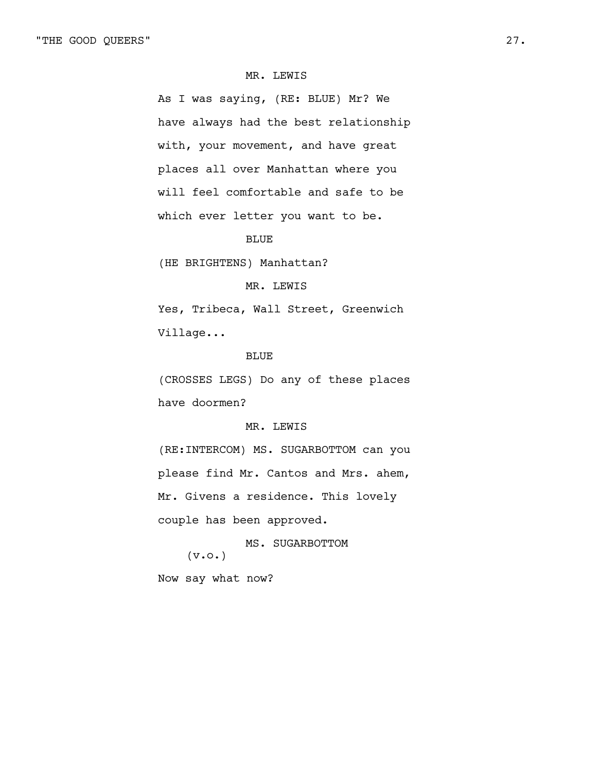### MR. LEWIS

As I was saying, (RE: BLUE) Mr? We have always had the best relationship with, your movement, and have great places all over Manhattan where you will feel comfortable and safe to be which ever letter you want to be.

#### BLUE

(HE BRIGHTENS) Manhattan?

#### MR. LEWIS

Yes, Tribeca, Wall Street, Greenwich Village...

#### **BLUE**

(CROSSES LEGS) Do any of these places have doormen?

### MR. LEWIS

(RE:INTERCOM) MS. SUGARBOTTOM can you please find Mr. Cantos and Mrs. ahem, Mr. Givens a residence. This lovely couple has been approved.

> MS. SUGARBOTTOM  $(v.o.)$

Now say what now?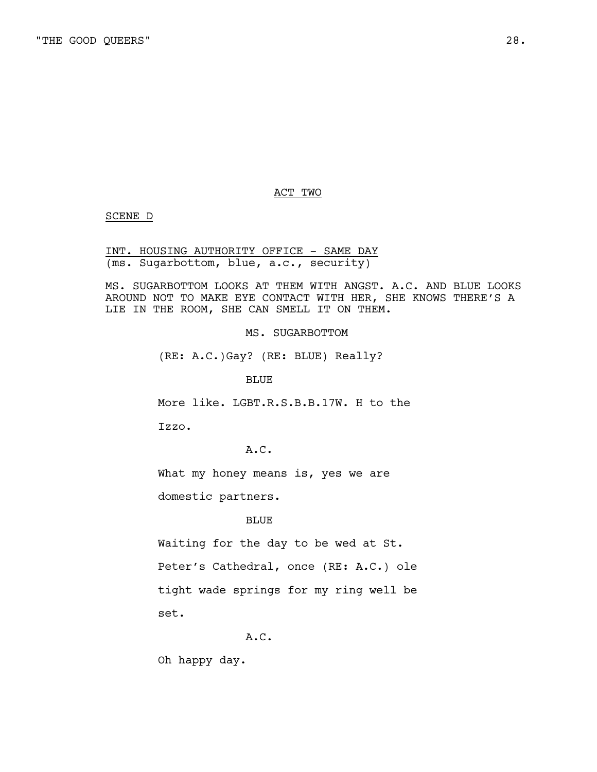#### ACT TWO

SCENE D

INT. HOUSING AUTHORITY OFFICE - SAME DAY (ms. Sugarbottom, blue, a.c., security)

MS. SUGARBOTTOM LOOKS AT THEM WITH ANGST. A.C. AND BLUE LOOKS AROUND NOT TO MAKE EYE CONTACT WITH HER, SHE KNOWS THERE'S A LIE IN THE ROOM, SHE CAN SMELL IT ON THEM.

MS. SUGARBOTTOM

(RE: A.C.)Gay? (RE: BLUE) Really?

BLUE

More like. LGBT.R.S.B.B.17W. H to the

Izzo.

### A.C.

What my honey means is, yes we are

domestic partners.

#### BLUE

Waiting for the day to be wed at St. Peter's Cathedral, once (RE: A.C.) ole tight wade springs for my ring well be set.

#### A.C.

Oh happy day.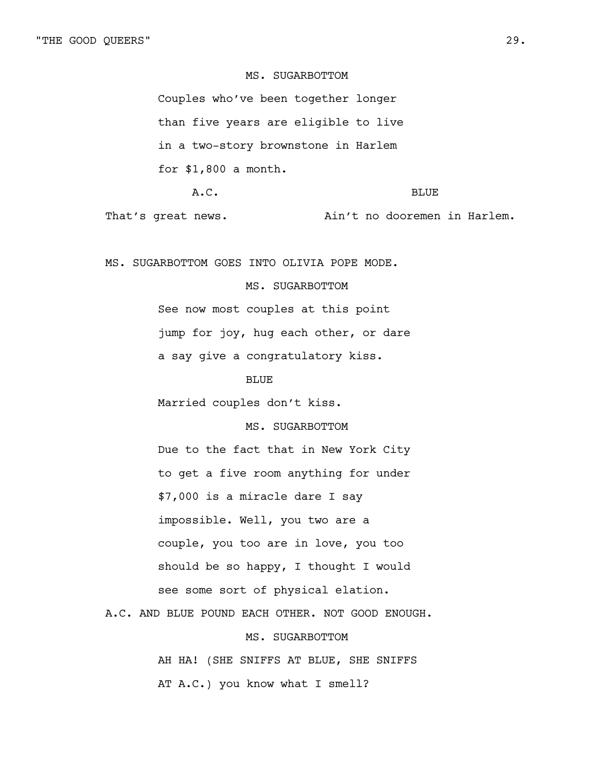Couples who've been together longer than five years are eligible to live in a two-story brownstone in Harlem for \$1,800 a month.

A.C.

BLUE

That's great news. Ain't no dooremen in Harlem.

MS. SUGARBOTTOM GOES INTO OLIVIA POPE MODE.

#### MS. SUGARBOTTOM

See now most couples at this point

jump for joy, hug each other, or dare

a say give a congratulatory kiss.

BLUE

Married couples don't kiss.

MS. SUGARBOTTOM

Due to the fact that in New York City to get a five room anything for under \$7,000 is a miracle dare I say impossible. Well, you two are a couple, you too are in love, you too should be so happy, I thought I would see some sort of physical elation.

A.C. AND BLUE POUND EACH OTHER. NOT GOOD ENOUGH.

### MS. SUGARBOTTOM

AH HA! (SHE SNIFFS AT BLUE, SHE SNIFFS AT A.C.) you know what I smell?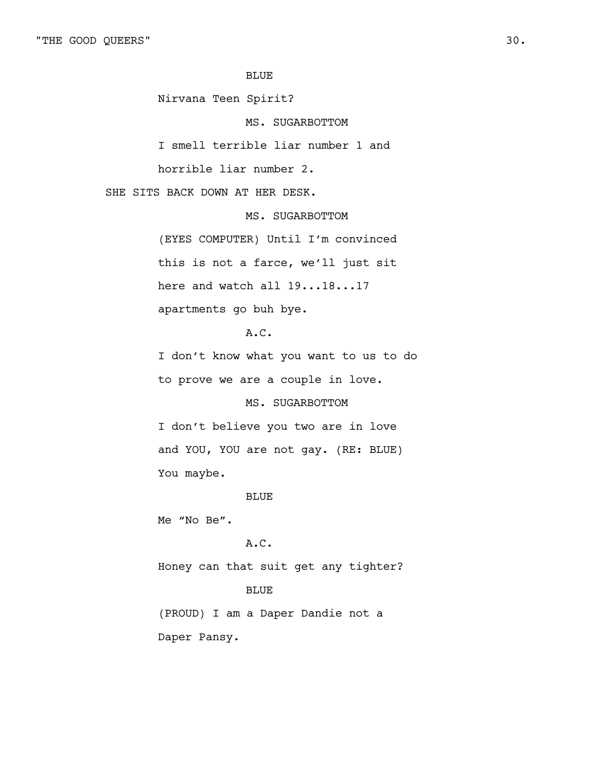Nirvana Teen Spirit?

MS. SUGARBOTTOM

I smell terrible liar number 1 and

horrible liar number 2.

SHE SITS BACK DOWN AT HER DESK.

MS. SUGARBOTTOM

(EYES COMPUTER) Until I'm convinced this is not a farce, we'll just sit here and watch all 19...18...17 apartments go buh bye.

A.C.

I don't know what you want to us to do to prove we are a couple in love.

MS. SUGARBOTTOM

I don't believe you two are in love and YOU, YOU are not gay. (RE: BLUE) You maybe.

BLUE

Me "No Be".

A.C.

Honey can that suit get any tighter?

#### BLUE

(PROUD) I am a Daper Dandie not a Daper Pansy.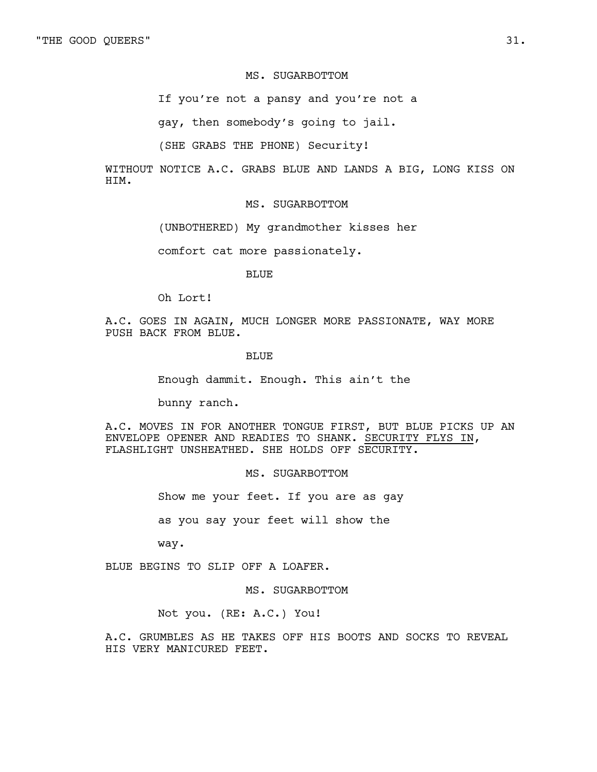If you're not a pansy and you're not a

gay, then somebody's going to jail.

(SHE GRABS THE PHONE) Security!

WITHOUT NOTICE A.C. GRABS BLUE AND LANDS A BIG, LONG KISS ON HIM.

MS. SUGARBOTTOM

(UNBOTHERED) My grandmother kisses her

comfort cat more passionately.

BLUE

Oh Lort!

A.C. GOES IN AGAIN, MUCH LONGER MORE PASSIONATE, WAY MORE PUSH BACK FROM BLUE.

**BLUE** 

Enough dammit. Enough. This ain't the

bunny ranch.

A.C. MOVES IN FOR ANOTHER TONGUE FIRST, BUT BLUE PICKS UP AN ENVELOPE OPENER AND READIES TO SHANK. SECURITY FLYS IN, FLASHLIGHT UNSHEATHED. SHE HOLDS OFF SECURITY.

MS. SUGARBOTTOM

Show me your feet. If you are as gay

as you say your feet will show the

way.

BLUE BEGINS TO SLIP OFF A LOAFER.

MS. SUGARBOTTOM

Not you. (RE: A.C.) You!

A.C. GRUMBLES AS HE TAKES OFF HIS BOOTS AND SOCKS TO REVEAL HIS VERY MANICURED FEET.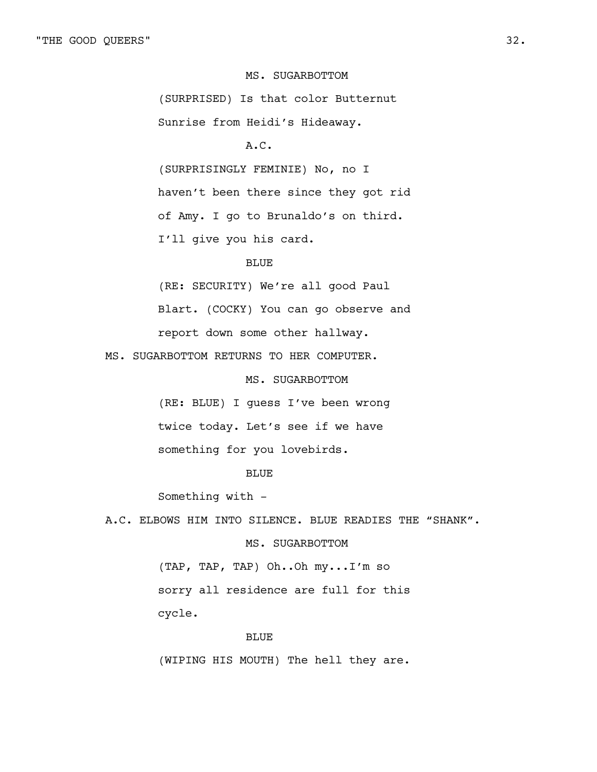(SURPRISED) Is that color Butternut

Sunrise from Heidi's Hideaway.

A.C.

(SURPRISINGLY FEMINIE) No, no I haven't been there since they got rid of Amy. I go to Brunaldo's on third. I'll give you his card.

### BLUE

(RE: SECURITY) We're all good Paul Blart. (COCKY) You can go observe and report down some other hallway. MS. SUGARBOTTOM RETURNS TO HER COMPUTER.

MS. SUGARBOTTOM

(RE: BLUE) I guess I've been wrong twice today. Let's see if we have something for you lovebirds.

#### BLUE

Something with -

A.C. ELBOWS HIM INTO SILENCE. BLUE READIES THE "SHANK".

#### MS. SUGARBOTTOM

(TAP, TAP, TAP) Oh..Oh my...I'm so sorry all residence are full for this cycle.

#### BLUE

(WIPING HIS MOUTH) The hell they are.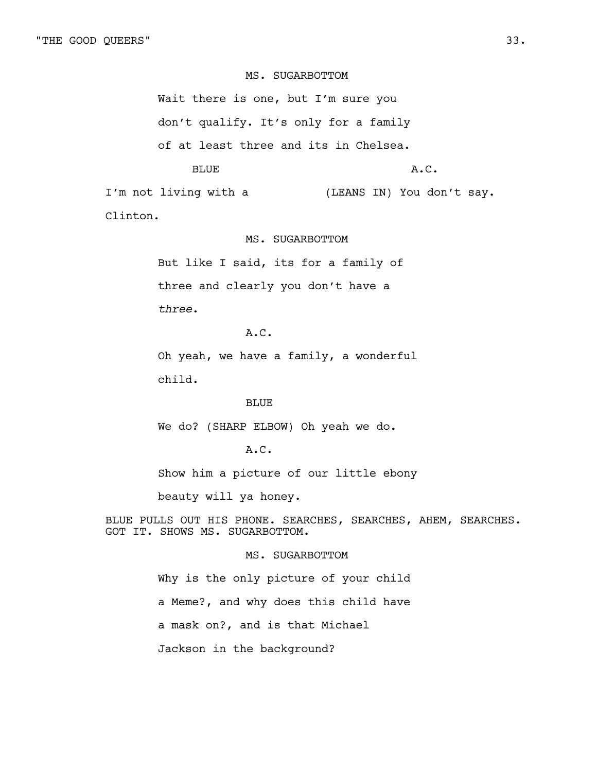Wait there is one, but I'm sure you don't qualify. It's only for a family of at least three and its in Chelsea. BLUE A.C.

I'm not living with a Clinton. (LEANS IN) You don't say.

#### MS. SUGARBOTTOM

But like I said, its for a family of three and clearly you don't have a *three*.

A.C.

Oh yeah, we have a family, a wonderful child.

BLUE

We do? (SHARP ELBOW) Oh yeah we do.

### A.C.

Show him a picture of our little ebony

beauty will ya honey.

BLUE PULLS OUT HIS PHONE. SEARCHES, SEARCHES, AHEM, SEARCHES. GOT IT. SHOWS MS. SUGARBOTTOM.

### MS. SUGARBOTTOM

Why is the only picture of your child a Meme?, and why does this child have a mask on?, and is that Michael Jackson in the background?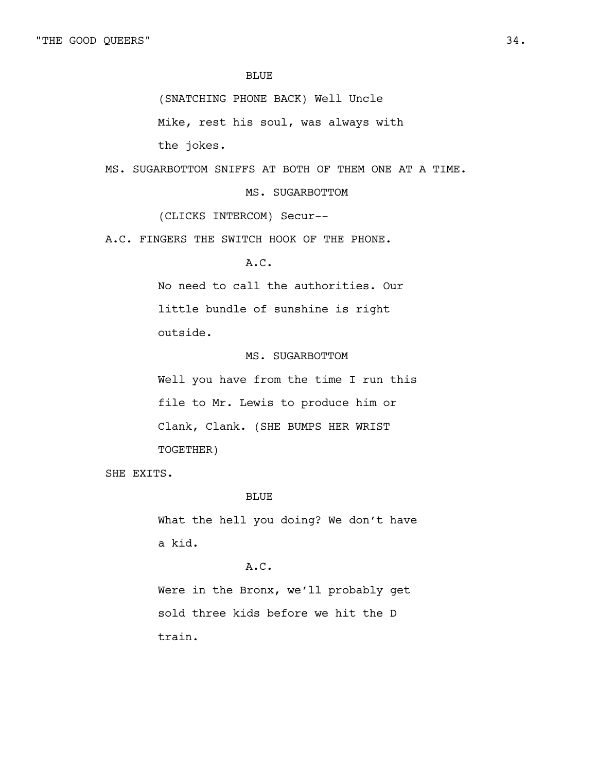(SNATCHING PHONE BACK) Well Uncle

Mike, rest his soul, was always with

the jokes.

MS. SUGARBOTTOM SNIFFS AT BOTH OF THEM ONE AT A TIME.

MS. SUGARBOTTOM

(CLICKS INTERCOM) Secur--

A.C. FINGERS THE SWITCH HOOK OF THE PHONE.

A.C.

No need to call the authorities. Our little bundle of sunshine is right outside.

### MS. SUGARBOTTOM

Well you have from the time I run this file to Mr. Lewis to produce him or Clank, Clank. (SHE BUMPS HER WRIST TOGETHER)

SHE EXITS.

#### BLUE

What the hell you doing? We don't have a kid.

A.C.

Were in the Bronx, we'll probably get sold three kids before we hit the D train.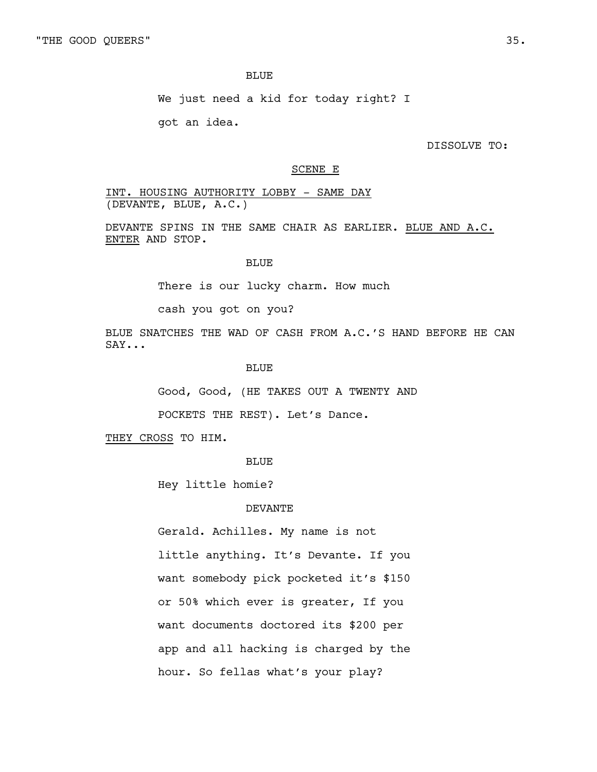We just need a kid for today right? I

got an idea.

DISSOLVE TO:

#### SCENE E

INT. HOUSING AUTHORITY LOBBY - SAME DAY (DEVANTE, BLUE, A.C.)

DEVANTE SPINS IN THE SAME CHAIR AS EARLIER. BLUE AND A.C. ENTER AND STOP.

### BLUE

There is our lucky charm. How much

cash you got on you?

BLUE SNATCHES THE WAD OF CASH FROM A.C.'S HAND BEFORE HE CAN SAY...

#### BLUE

Good, Good, (HE TAKES OUT A TWENTY AND

POCKETS THE REST). Let's Dance.

THEY CROSS TO HIM.

BLUE

Hey little homie?

#### DEVANTE

Gerald. Achilles. My name is not little anything. It's Devante. If you want somebody pick pocketed it's \$150 or 50% which ever is greater, If you want documents doctored its \$200 per app and all hacking is charged by the hour. So fellas what's your play?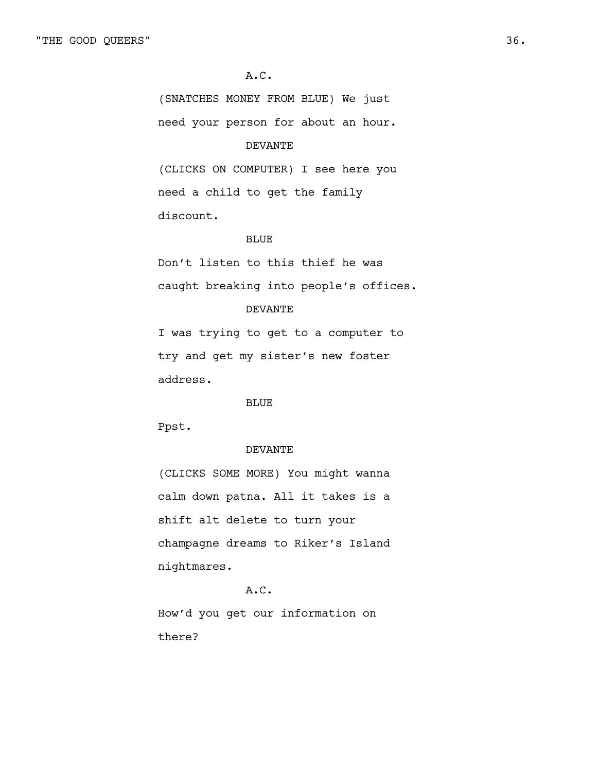```
A.C.
```
(SNATCHES MONEY FROM BLUE) We just

need your person for about an hour.

#### DEVANTE

(CLICKS ON COMPUTER) I see here you need a child to get the family discount.

#### BLUE

Don't listen to this thief he was caught breaking into people's offices.

### DEVANTE

I was trying to get to a computer to try and get my sister's new foster address.

BLUE

Ppst.

#### DEVANTE

(CLICKS SOME MORE) You might wanna calm down patna. All it takes is a shift alt delete to turn your champagne dreams to Riker's Island nightmares.

### A.C.

How'd you get our information on there?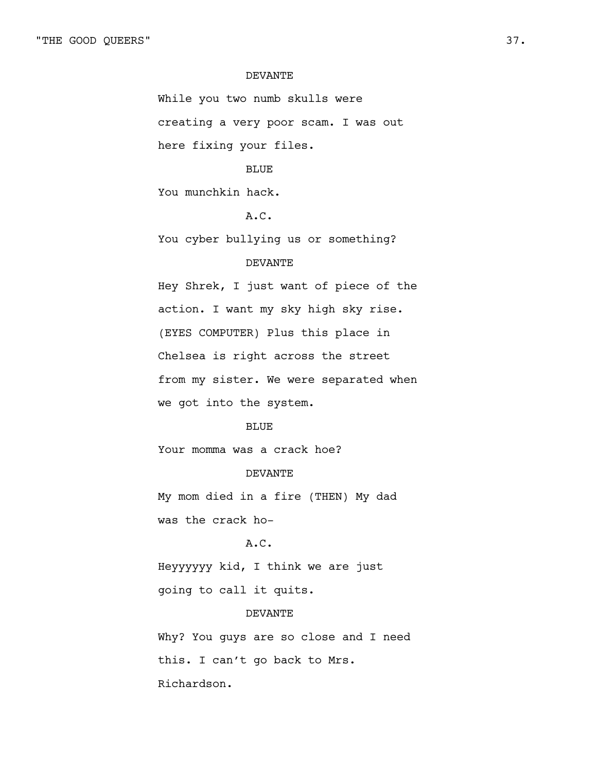### DEVANTE

While you two numb skulls were creating a very poor scam. I was out here fixing your files.

#### BLUE

You munchkin hack.

### A.C.

You cyber bullying us or something?

### DEVANTE

Hey Shrek, I just want of piece of the action. I want my sky high sky rise. (EYES COMPUTER) Plus this place in Chelsea is right across the street from my sister. We were separated when we got into the system.

### BLUE

Your momma was a crack hoe?

### DEVANTE

My mom died in a fire (THEN) My dad was the crack ho-

#### A.C.

Heyyyyyy kid, I think we are just going to call it quits.

### DEVANTE

Why? You guys are so close and I need this. I can't go back to Mrs. Richardson.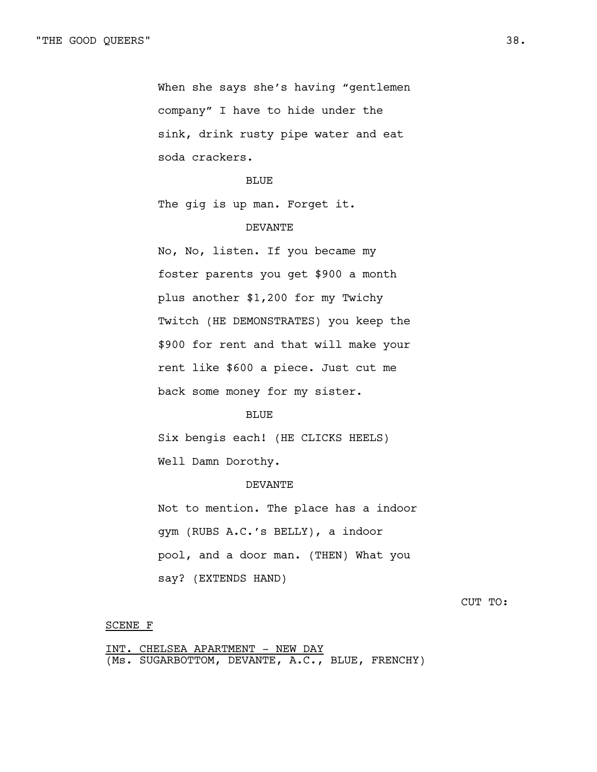When she says she's having "gentlemen company" I have to hide under the sink, drink rusty pipe water and eat soda crackers.

#### **BLUE**

The gig is up man. Forget it.

### DEVANTE

No, No, listen. If you became my foster parents you get \$900 a month plus another \$1,200 for my Twichy Twitch (HE DEMONSTRATES) you keep the \$900 for rent and that will make your rent like \$600 a piece. Just cut me back some money for my sister.

#### **BLUE**

Six bengis each! (HE CLICKS HEELS)

Well Damn Dorothy.

#### DEVANTE

Not to mention. The place has a indoor gym (RUBS A.C.'s BELLY), a indoor pool, and a door man. (THEN) What you say? (EXTENDS HAND)

#### CUT TO:

#### SCENE F

INT. CHELSEA APARTMENT - NEW DAY (Ms. SUGARBOTTOM, DEVANTE, A.C., BLUE, FRENCHY)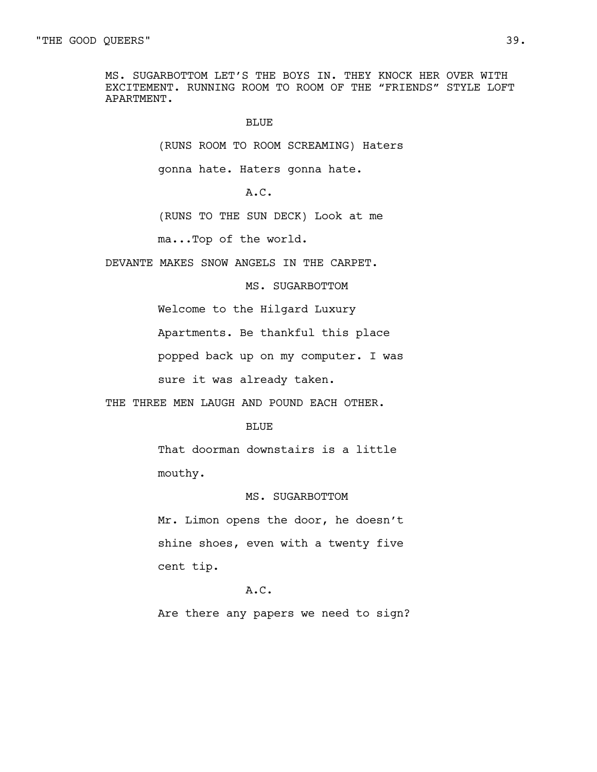MS. SUGARBOTTOM LET'S THE BOYS IN. THEY KNOCK HER OVER WITH EXCITEMENT. RUNNING ROOM TO ROOM OF THE "FRIENDS" STYLE LOFT APARTMENT.

#### BLUE

(RUNS ROOM TO ROOM SCREAMING) Haters

gonna hate. Haters gonna hate.

A.C.

(RUNS TO THE SUN DECK) Look at me

ma...Top of the world.

DEVANTE MAKES SNOW ANGELS IN THE CARPET.

MS. SUGARBOTTOM

Welcome to the Hilgard Luxury

Apartments. Be thankful this place

popped back up on my computer. I was

sure it was already taken.

THE THREE MEN LAUGH AND POUND EACH OTHER.

### BLUE

That doorman downstairs is a little mouthy.

#### MS. SUGARBOTTOM

Mr. Limon opens the door, he doesn't shine shoes, even with a twenty five cent tip.

### A.C.

Are there any papers we need to sign?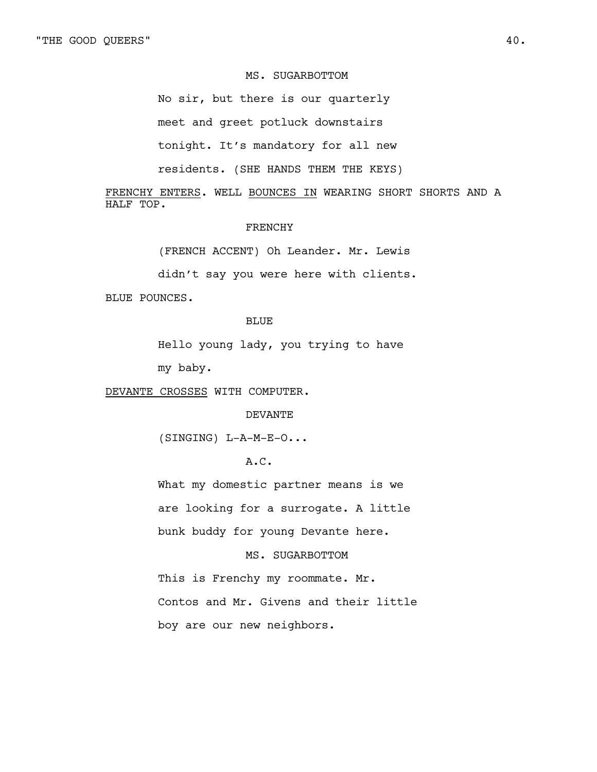No sir, but there is our quarterly

meet and greet potluck downstairs

tonight. It's mandatory for all new

residents. (SHE HANDS THEM THE KEYS)

FRENCHY ENTERS. WELL BOUNCES IN WEARING SHORT SHORTS AND A HALF TOP.

#### FRENCHY

(FRENCH ACCENT) Oh Leander. Mr. Lewis

didn't say you were here with clients.

BLUE POUNCES.

#### BLUE

Hello young lady, you trying to have my baby.

DEVANTE CROSSES WITH COMPUTER.

#### DEVANTE

(SINGING) L-A-M-E-O...

### A.C.

What my domestic partner means is we are looking for a surrogate. A little bunk buddy for young Devante here.

### MS. SUGARBOTTOM

This is Frenchy my roommate. Mr. Contos and Mr. Givens and their little boy are our new neighbors.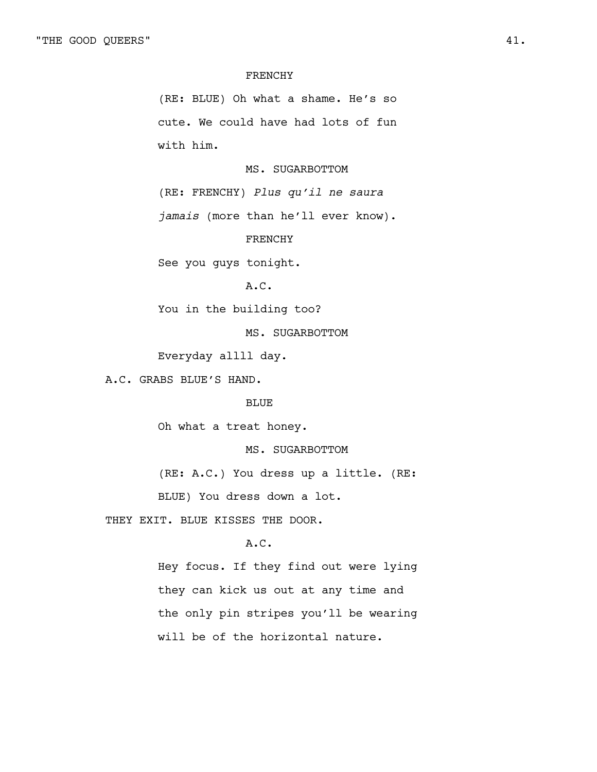### FRENCHY

(RE: BLUE) Oh what a shame. He's so cute. We could have had lots of fun with him.

MS. SUGARBOTTOM

(RE: FRENCHY) *Plus qu'il ne saura*

*jamais* (more than he'll ever know).

FRENCHY

See you guys tonight.

A.C.

You in the building too?

MS. SUGARBOTTOM

Everyday allll day.

A.C. GRABS BLUE'S HAND.

BLUE

Oh what a treat honey.

MS. SUGARBOTTOM

(RE: A.C.) You dress up a little. (RE:

BLUE) You dress down a lot.

THEY EXIT. BLUE KISSES THE DOOR.

#### A.C.

Hey focus. If they find out were lying they can kick us out at any time and the only pin stripes you'll be wearing will be of the horizontal nature.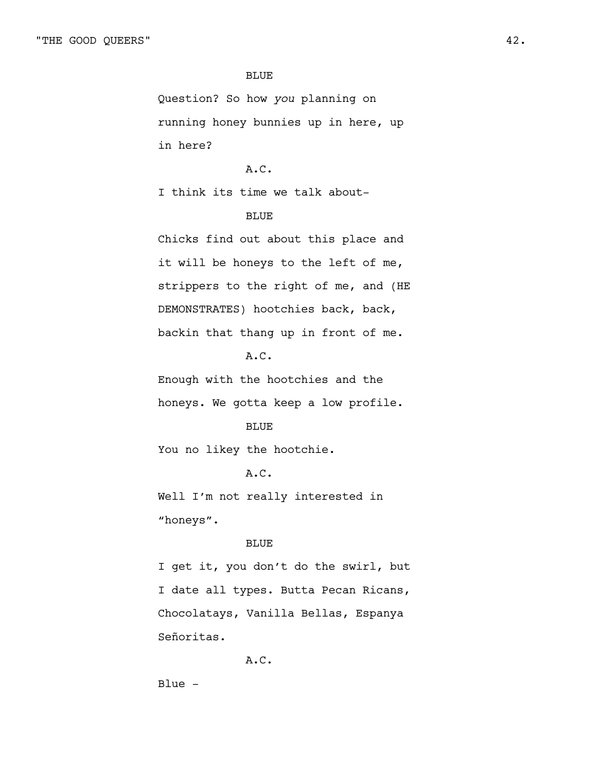Question? So how *you* planning on running honey bunnies up in here, up in here?

### A.C.

I think its time we talk about-

### BLUE

Chicks find out about this place and it will be honeys to the left of me, strippers to the right of me, and (HE DEMONSTRATES) hootchies back, back, backin that thang up in front of me.

### A.C.

Enough with the hootchies and the honeys. We gotta keep a low profile.

#### BLUE

You no likey the hootchie.

### A.C.

Well I'm not really interested in "honeys".

#### BLUE

I get it, you don't do the swirl, but I date all types. Butta Pecan Ricans, Chocolatays, Vanilla Bellas, Espanya Señoritas.

A.C.

Blue -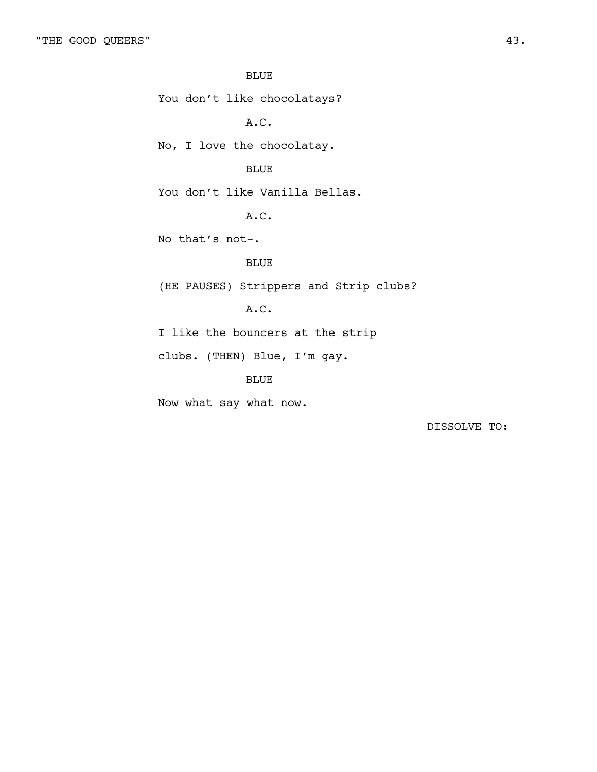You don't like chocolatays?

A.C.

No, I love the chocolatay.

BLUE

You don't like Vanilla Bellas.

A.C.

No that's not-.

BLUE

(HE PAUSES) Strippers and Strip clubs?

A.C.

I like the bouncers at the strip

clubs. (THEN) Blue, I'm gay.

BLUE

Now what say what now.

DISSOLVE TO: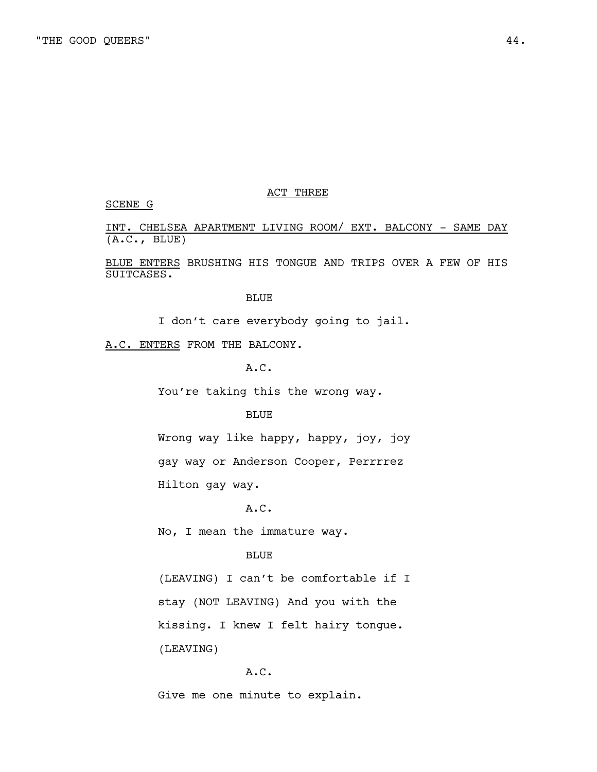SCENE G

#### ACT THREE

INT. CHELSEA APARTMENT LIVING ROOM/ EXT. BALCONY - SAME DAY (A.C., BLUE)

BLUE ENTERS BRUSHING HIS TONGUE AND TRIPS OVER A FEW OF HIS SUITCASES.

BLUE

I don't care everybody going to jail.

A.C. ENTERS FROM THE BALCONY.

A.C.

You're taking this the wrong way.

**BLUE** 

Wrong way like happy, happy, joy, joy

gay way or Anderson Cooper, Perrrrez

Hilton gay way.

A.C.

No, I mean the immature way.

### BLUE

(LEAVING) I can't be comfortable if I stay (NOT LEAVING) And you with the kissing. I knew I felt hairy tongue. (LEAVING)

#### A.C.

Give me one minute to explain.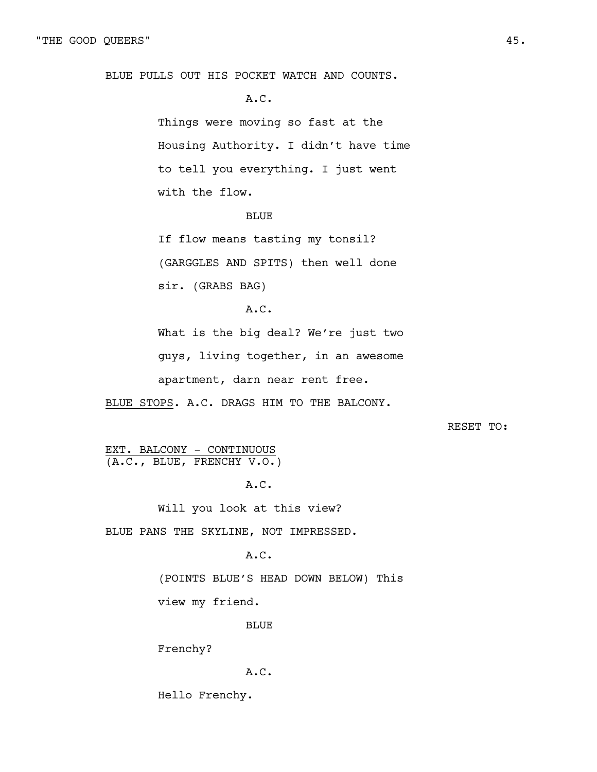BLUE PULLS OUT HIS POCKET WATCH AND COUNTS.

A.C.

Things were moving so fast at the Housing Authority. I didn't have time to tell you everything. I just went with the flow.

BLUE

If flow means tasting my tonsil? (GARGGLES AND SPITS) then well done sir. (GRABS BAG)

A.C.

What is the big deal? We're just two guys, living together, in an awesome apartment, darn near rent free.

BLUE STOPS. A.C. DRAGS HIM TO THE BALCONY.

RESET TO:

EXT. BALCONY - CONTINUOUS (A.C., BLUE, FRENCHY V.O.)

A.C.

Will you look at this view?

BLUE PANS THE SKYLINE, NOT IMPRESSED.

A.C.

(POINTS BLUE'S HEAD DOWN BELOW) This

view my friend.

BLUE

Frenchy?

A.C.

Hello Frenchy.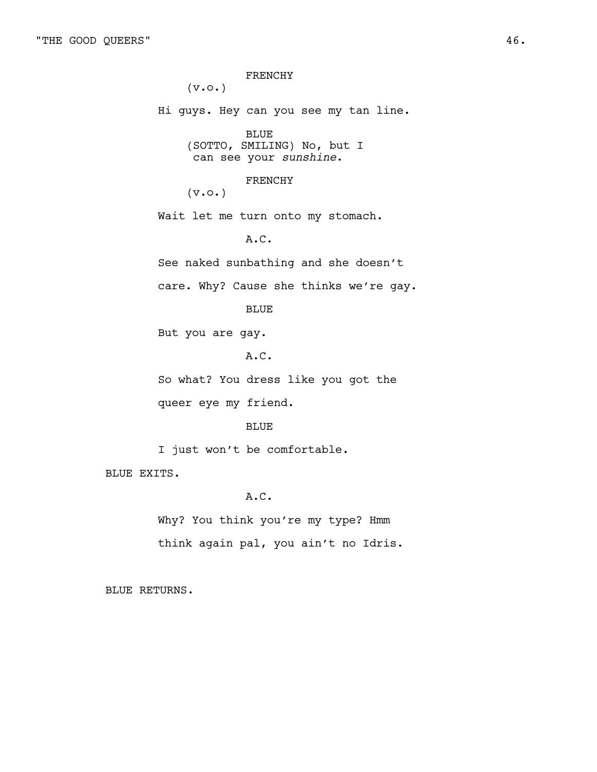FRENCHY  $(v.o.)$ Hi guys. Hey can you see my tan line. BLUE (SOTTO, SMILING) No, but I can see your *sunshine*. FRENCHY  $(v.o.)$ Wait let me turn onto my stomach. A.C. See naked sunbathing and she doesn't care. Why? Cause she thinks we're gay. BLUE But you are gay. A.C. So what? You dress like you got the queer eye my friend. BLUE I just won't be comfortable. BLUE EXITS. A.C.

Why? You think you're my type? Hmm think again pal, you ain't no Idris.

BLUE RETURNS.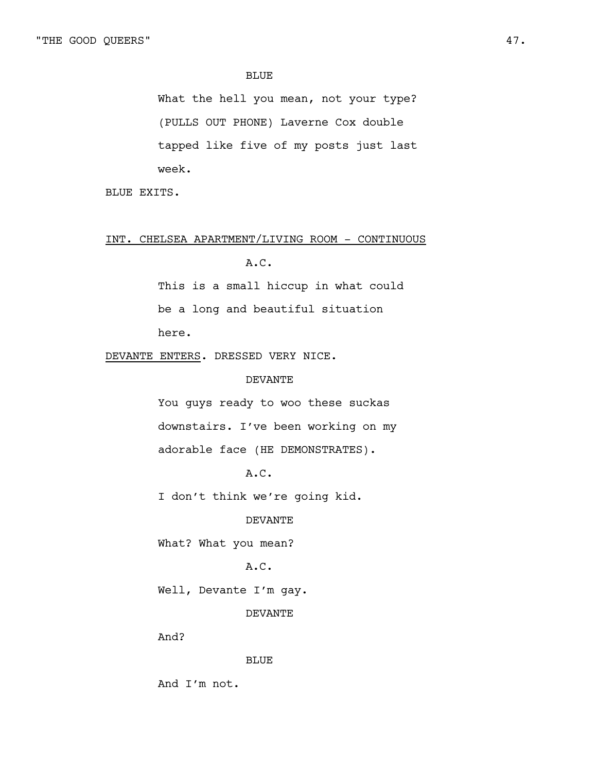What the hell you mean, not your type? (PULLS OUT PHONE) Laverne Cox double tapped like five of my posts just last week.

BLUE EXITS.

### INT. CHELSEA APARTMENT/LIVING ROOM - CONTINUOUS

### A.C.

This is a small hiccup in what could be a long and beautiful situation here.

DEVANTE ENTERS. DRESSED VERY NICE.

#### DEVANTE

You guys ready to woo these suckas downstairs. I've been working on my adorable face (HE DEMONSTRATES).

### A.C.

I don't think we're going kid.

### DEVANTE

What? What you mean?

### A.C.

Well, Devante I'm gay.

### DEVANTE

And?

BLUE

And I'm not.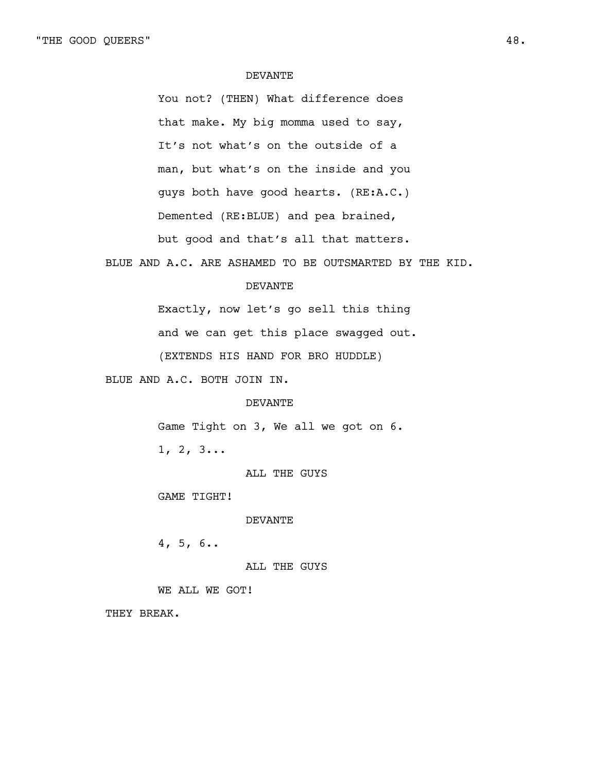### DEVANTE

You not? (THEN) What difference does that make. My big momma used to say, It's not what's on the outside of a man, but what's on the inside and you guys both have good hearts. (RE:A.C.) Demented (RE:BLUE) and pea brained, but good and that's all that matters.

BLUE AND A.C. ARE ASHAMED TO BE OUTSMARTED BY THE KID.

#### DEVANTE

Exactly, now let's go sell this thing

and we can get this place swagged out.

(EXTENDS HIS HAND FOR BRO HUDDLE)

BLUE AND A.C. BOTH JOIN IN.

DEVANTE

Game Tight on 3, We all we got on 6.

1, 2, 3...

ALL THE GUYS

GAME TIGHT!

DEVANTE

4, 5, 6..

ALL THE GUYS

WE ALL WE GOT!

THEY BREAK.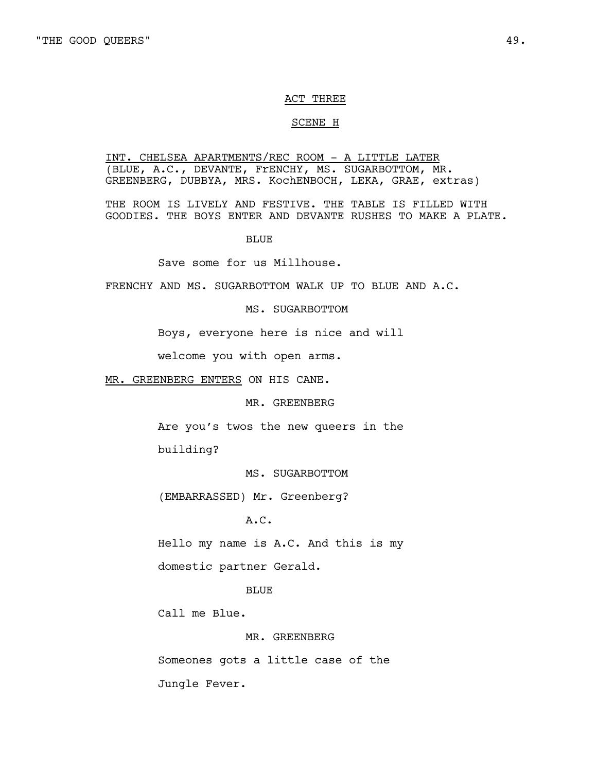#### ACT THREE

#### SCENE H

INT. CHELSEA APARTMENTS/REC ROOM - A LITTLE LATER (BLUE, A.C., DEVANTE, FrENCHY, MS. SUGARBOTTOM, MR. GREENBERG, DUBBYA, MRS. KochENBOCH, LEKA, GRAE, extras)

THE ROOM IS LIVELY AND FESTIVE. THE TABLE IS FILLED WITH GOODIES. THE BOYS ENTER AND DEVANTE RUSHES TO MAKE A PLATE.

**BLUE** 

Save some for us Millhouse.

FRENCHY AND MS. SUGARBOTTOM WALK UP TO BLUE AND A.C.

MS. SUGARBOTTOM

Boys, everyone here is nice and will

welcome you with open arms.

MR. GREENBERG ENTERS ON HIS CANE.

MR. GREENBERG

Are you's twos the new queers in the

building?

MS. SUGARBOTTOM

(EMBARRASSED) Mr. Greenberg?

A.C.

Hello my name is A.C. And this is my

domestic partner Gerald.

BLUE

Call me Blue.

MR. GREENBERG

Someones gots a little case of the Jungle Fever.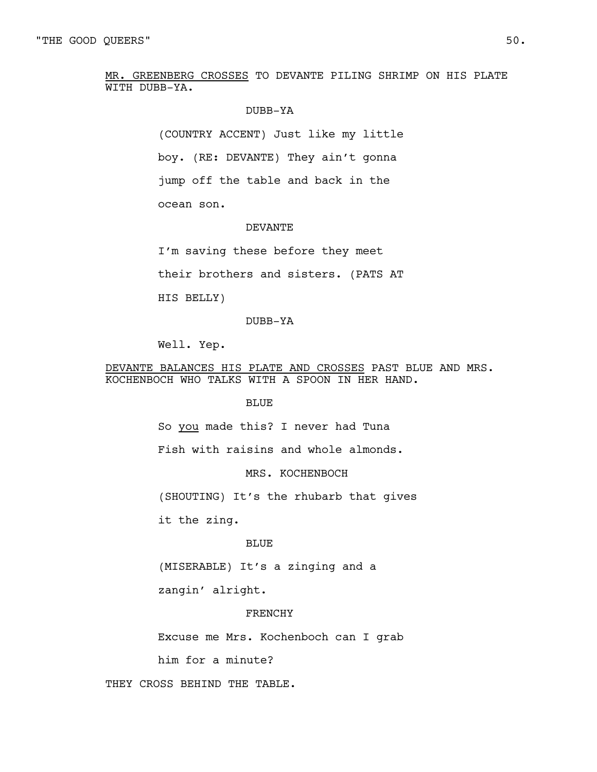MR. GREENBERG CROSSES TO DEVANTE PILING SHRIMP ON HIS PLATE WITH DUBB-YA.

#### DUBB-YA

(COUNTRY ACCENT) Just like my little boy. (RE: DEVANTE) They ain't gonna jump off the table and back in the ocean son.

#### DEVANTE

I'm saving these before they meet

their brothers and sisters. (PATS AT

HIS BELLY)

### DUBB-YA

Well. Yep.

DEVANTE BALANCES HIS PLATE AND CROSSES PAST BLUE AND MRS. KOCHENBOCH WHO TALKS WITH A SPOON IN HER HAND.

**BLUE** 

So you made this? I never had Tuna

Fish with raisins and whole almonds.

MRS. KOCHENBOCH

(SHOUTING) It's the rhubarb that gives

it the zing.

#### BLUE

(MISERABLE) It's a zinging and a

zangin' alright.

#### FRENCHY

Excuse me Mrs. Kochenboch can I grab

him for a minute?

THEY CROSS BEHIND THE TABLE.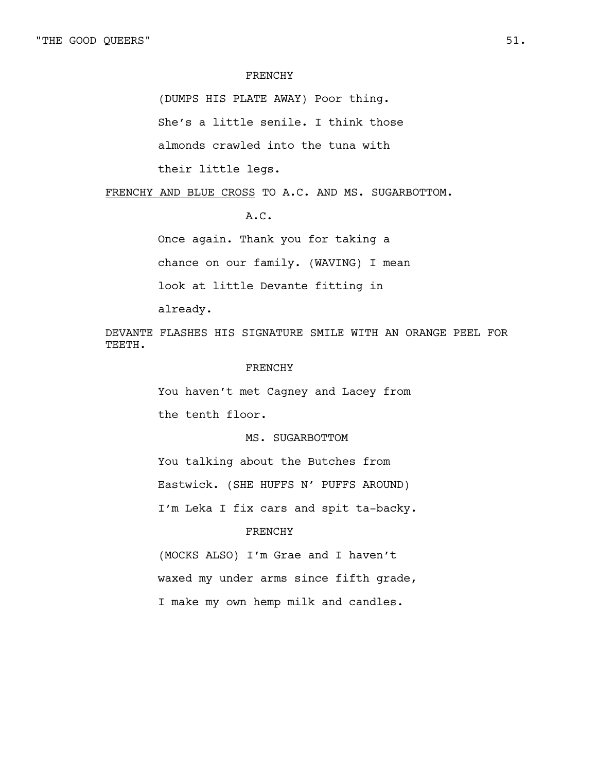### FRENCHY

(DUMPS HIS PLATE AWAY) Poor thing. She's a little senile. I think those almonds crawled into the tuna with their little legs.

FRENCHY AND BLUE CROSS TO A.C. AND MS. SUGARBOTTOM.

### A.C.

Once again. Thank you for taking a

chance on our family. (WAVING) I mean

look at little Devante fitting in

already.

DEVANTE FLASHES HIS SIGNATURE SMILE WITH AN ORANGE PEEL FOR TEETH.

#### FRENCHY

You haven't met Cagney and Lacey from

the tenth floor.

MS. SUGARBOTTOM

You talking about the Butches from

Eastwick. (SHE HUFFS N' PUFFS AROUND)

I'm Leka I fix cars and spit ta-backy.

### FRENCHY

(MOCKS ALSO) I'm Grae and I haven't waxed my under arms since fifth grade, I make my own hemp milk and candles.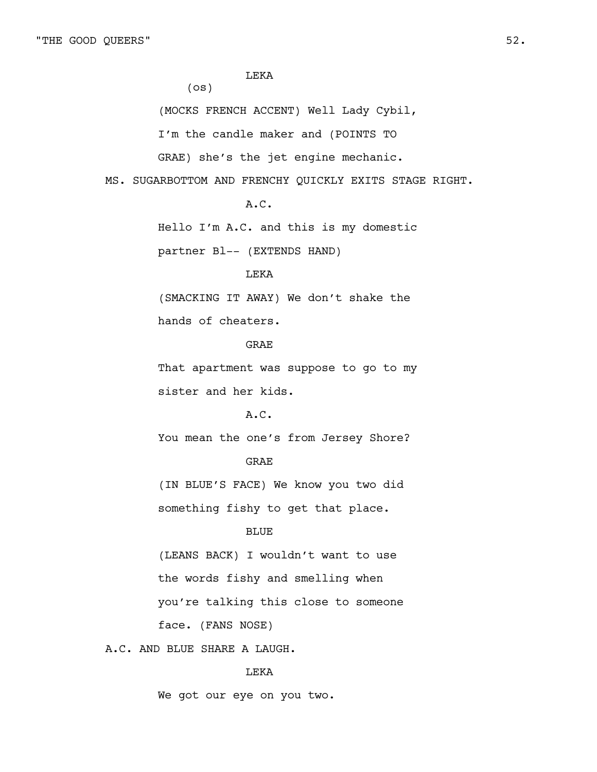LEKA

(os)

(MOCKS FRENCH ACCENT) Well Lady Cybil,

I'm the candle maker and (POINTS TO

GRAE) she's the jet engine mechanic.

MS. SUGARBOTTOM AND FRENCHY QUICKLY EXITS STAGE RIGHT.

A.C.

Hello I'm A.C. and this is my domestic

partner Bl-- (EXTENDS HAND)

LEKA

(SMACKING IT AWAY) We don't shake the

hands of cheaters.

GRAE

That apartment was suppose to go to my sister and her kids.

A.C.

You mean the one's from Jersey Shore?

GRAE

(IN BLUE'S FACE) We know you two did something fishy to get that place.

BLUE

(LEANS BACK) I wouldn't want to use the words fishy and smelling when you're talking this close to someone face. (FANS NOSE)

A.C. AND BLUE SHARE A LAUGH.

**T.EKA** 

We got our eye on you two.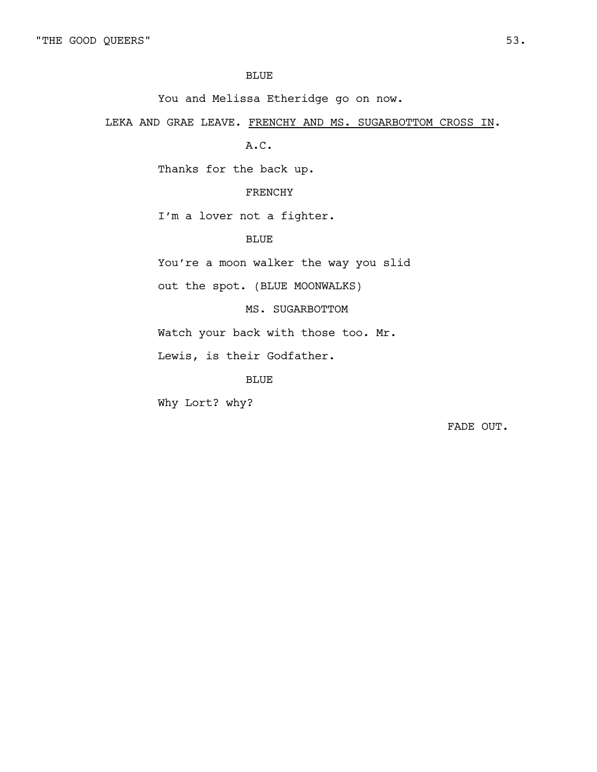You and Melissa Etheridge go on now.

LEKA AND GRAE LEAVE. FRENCHY AND MS. SUGARBOTTOM CROSS IN.

A.C.

Thanks for the back up.

### FRENCHY

I'm a lover not a fighter.

### BLUE

You're a moon walker the way you slid

out the spot. (BLUE MOONWALKS)

MS. SUGARBOTTOM

Watch your back with those too. Mr.

Lewis, is their Godfather.

BLUE

Why Lort? why?

FADE OUT.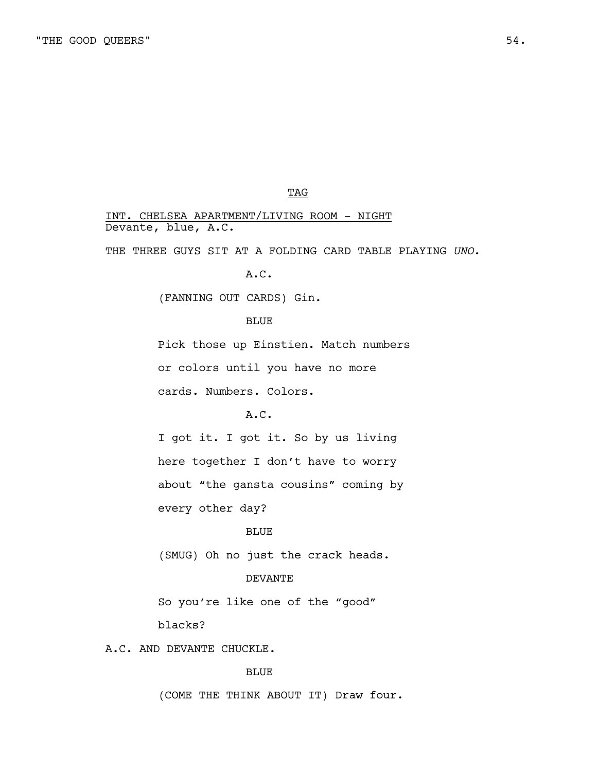INT. CHELSEA APARTMENT/LIVING ROOM - NIGHT Devante, blue, A.C.

THE THREE GUYS SIT AT A FOLDING CARD TABLE PLAYING *UNO*.

TAG

### A.C.

(FANNING OUT CARDS) Gin.

#### BLUE

Pick those up Einstien. Match numbers or colors until you have no more cards. Numbers. Colors.

### A.C.

I got it. I got it. So by us living here together I don't have to worry about "the gansta cousins" coming by every other day?

### BLUE

(SMUG) Oh no just the crack heads.

### DEVANTE

So you're like one of the "good"

blacks?

A.C. AND DEVANTE CHUCKLE.

#### **BLUE**

(COME THE THINK ABOUT IT) Draw four.